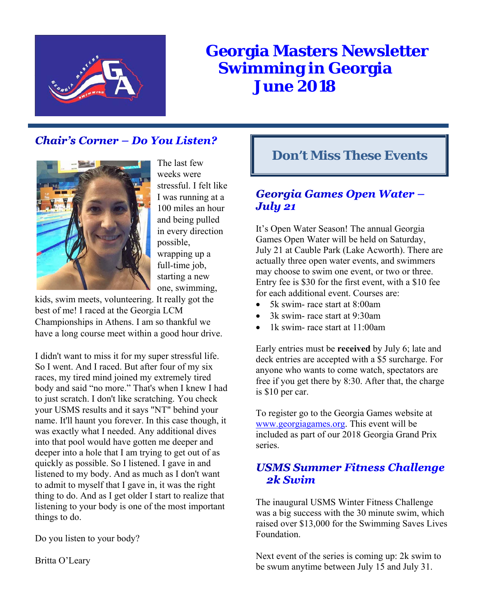

# **Georgia Masters Newsletter Swimming in Georgia June 2018**

# **Chair's Corner – Do You Listen?**



The last few weeks were stressful. I felt like I was running at a 100 miles an hour and being pulled in every direction possible, wrapping up a full-time job, starting a new one, swimming,

kids, swim meets, volunteering. It really got the best of me! I raced at the Georgia LCM Championships in Athens. I am so thankful we have a long course meet within a good hour drive.

I didn't want to miss it for my super stressful life. So I went. And I raced. But after four of my six races, my tired mind joined my extremely tired body and said "no more." That's when I knew I had to just scratch. I don't like scratching. You check your USMS results and it says "NT" behind your name. It'll haunt you forever. In this case though, it was exactly what I needed. Any additional dives into that pool would have gotten me deeper and deeper into a hole that I am trying to get out of as quickly as possible. So I listened. I gave in and listened to my body. And as much as I don't want to admit to myself that I gave in, it was the right thing to do. And as I get older I start to realize that listening to your body is one of the most important things to do.

Do you listen to your body?

Britta O'Leary

# **Don't Miss These Events**

# **Georgia Games Open Water -July 21**

It's Open Water Season! The annual Georgia Games Open Water will be held on Saturday, July 21 at Cauble Park (Lake Acworth). There are actually three open water events, and swimmers may choose to swim one event, or two or three. Entry fee is \$30 for the first event, with a \$10 fee for each additional event. Courses are:

- 5k swim- race start at 8:00am
- 3k swim- race start at 9:30am
- 1k swim- race start at 11:00am

Early entries must be **received** by July 6; late and deck entries are accepted with a \$5 surcharge. For anyone who wants to come watch, spectators are free if you get there by 8:30. After that, the charge is \$10 per car.

To register go to the Georgia Games website at www.georgiagames.org. This event will be included as part of our 2018 Georgia Grand Prix series.

# **USMS Summer Fitness Challenge** 2k Swim

The inaugural USMS Winter Fitness Challenge was a big success with the 30 minute swim, which raised over \$13,000 for the Swimming Saves Lives Foundation.

Next event of the series is coming up: 2k swim to be swum anytime between July 15 and July 31.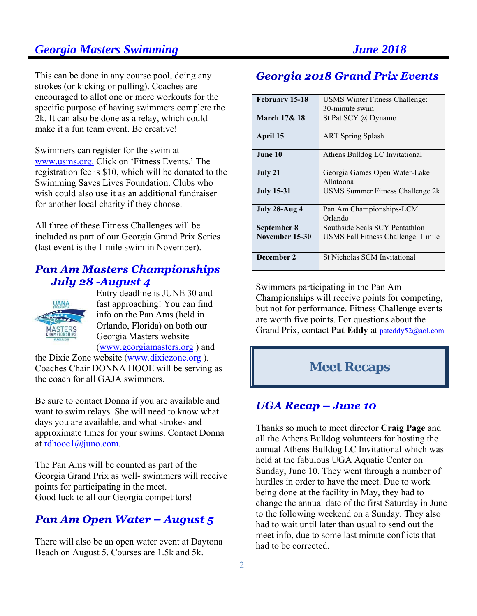This can be done in any course pool, doing any strokes (or kicking or pulling). Coaches are encouraged to allot one or more workouts for the specific purpose of having swimmers complete the 2k. It can also be done as a relay, which could make it a fun team event. Be creative!

Swimmers can register for the swim at www.usms.org. Click on 'Fitness Events.' The registration fee is \$10, which will be donated to the Swimming Saves Lives Foundation. Clubs who wish could also use it as an additional fundraiser for another local charity if they choose.

All three of these Fitness Challenges will be included as part of our Georgia Grand Prix Series (last event is the 1 mile swim in November).

# **Pan Am Masters Championships** July 28 -August 4



Entry deadline is JUNE 30 and fast approaching! You can find info on the Pan Ams (held in Orlando, Florida) on both our Georgia Masters website (www.georgiamasters.org ) and

the Dixie Zone website (www.dixiezone.org ). Coaches Chair DONNA HOOE will be serving as the coach for all GAJA swimmers.

Be sure to contact Donna if you are available and want to swim relays. She will need to know what days you are available, and what strokes and approximate times for your swims. Contact Donna at rdhooe1@juno.com.

The Pan Ams will be counted as part of the Georgia Grand Prix as well- swimmers will receive points for participating in the meet. Good luck to all our Georgia competitors!

# **Pan Am Open Water - August 5**

There will also be an open water event at Daytona Beach on August 5. Courses are 1.5k and 5k.

# **Georgia 2018 Grand Prix Events**

| February 15-18          | <b>USMS Winter Fitness Challenge:</b>      |  |  |  |
|-------------------------|--------------------------------------------|--|--|--|
|                         | 30-minute swim                             |  |  |  |
| <b>March 17&amp; 18</b> | St Pat SCY @ Dynamo                        |  |  |  |
| April 15                | <b>ART Spring Splash</b>                   |  |  |  |
| June 10                 | Athens Bulldog LC Invitational             |  |  |  |
| July 21                 | Georgia Games Open Water-Lake<br>Allatoona |  |  |  |
| <b>July 15-31</b>       | USMS Summer Fitness Challenge 2k           |  |  |  |
| July 28-Aug 4           | Pan Am Championships-LCM<br>Orlando        |  |  |  |
| September 8             | Southside Seals SCY Pentathlon             |  |  |  |
| November 15-30          | USMS Fall Fitness Challenge: 1 mile        |  |  |  |
| December 2              | <b>St Nicholas SCM Invitational</b>        |  |  |  |

Swimmers participating in the Pan Am Championships will receive points for competing, but not for performance. Fitness Challenge events are worth five points. For questions about the Grand Prix, contact **Pat Eddy** at pateddy52@aol.com

# **Meet Recaps**

# **UGA Recap - June 10**

Thanks so much to meet director **Craig Page** and all the Athens Bulldog volunteers for hosting the annual Athens Bulldog LC Invitational which was held at the fabulous UGA Aquatic Center on Sunday, June 10. They went through a number of hurdles in order to have the meet. Due to work being done at the facility in May, they had to change the annual date of the first Saturday in June to the following weekend on a Sunday. They also had to wait until later than usual to send out the meet info, due to some last minute conflicts that had to be corrected.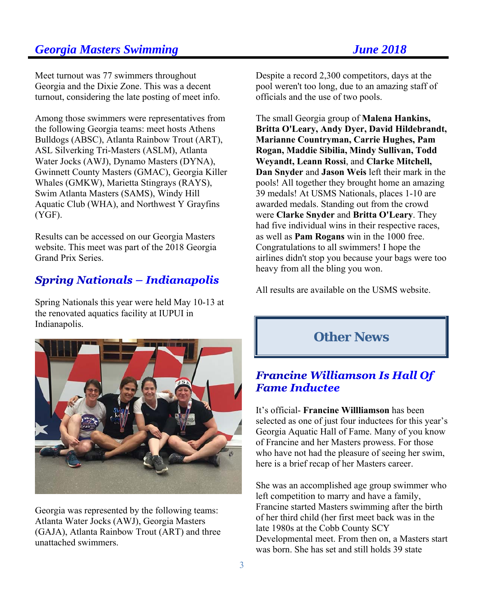Meet turnout was 77 swimmers throughout Georgia and the Dixie Zone. This was a decent turnout, considering the late posting of meet info.

Among those swimmers were representatives from the following Georgia teams: meet hosts Athens Bulldogs (ABSC), Atlanta Rainbow Trout (ART), ASL Silverking Tri-Masters (ASLM), Atlanta Water Jocks (AWJ), Dynamo Masters (DYNA), Gwinnett County Masters (GMAC), Georgia Killer Whales (GMKW), Marietta Stingrays (RAYS), Swim Atlanta Masters (SAMS), Windy Hill Aquatic Club (WHA), and Northwest Y Grayfins (YGF).

Results can be accessed on our Georgia Masters website. This meet was part of the 2018 Georgia Grand Prix Series.

# **Spring Nationals - Indianapolis**

Spring Nationals this year were held May 10-13 at the renovated aquatics facility at IUPUI in Indianapolis.



Georgia was represented by the following teams: Atlanta Water Jocks (AWJ), Georgia Masters (GAJA), Atlanta Rainbow Trout (ART) and three unattached swimmers.

Despite a record 2,300 competitors, days at the pool weren't too long, due to an amazing staff of officials and the use of two pools.

The small Georgia group of **Malena Hankins, Britta O'Leary, Andy Dyer, David Hildebrandt, Marianne Countryman, Carrie Hughes, Pam Rogan, Maddie Sibilia, Mindy Sullivan, Todd Weyandt, Leann Rossi**, and **Clarke Mitchell, Dan Snyder** and **Jason Weis** left their mark in the pools! All together they brought home an amazing 39 medals! At USMS Nationals, places 1-10 are awarded medals. Standing out from the crowd were **Clarke Snyder** and **Britta O'Leary**. They had five individual wins in their respective races, as well as **Pam Rogans** win in the 1000 free. Congratulations to all swimmers! I hope the airlines didn't stop you because your bags were too heavy from all the bling you won.

All results are available on the USMS website.



# **Fame Inductee**

It's official- **Francine Willliamson** has been selected as one of just four inductees for this year's Georgia Aquatic Hall of Fame. Many of you know of Francine and her Masters prowess. For those who have not had the pleasure of seeing her swim, here is a brief recap of her Masters career.

She was an accomplished age group swimmer who left competition to marry and have a family, Francine started Masters swimming after the birth of her third child (her first meet back was in the late 1980s at the Cobb County SCY Developmental meet. From then on, a Masters start was born. She has set and still holds 39 state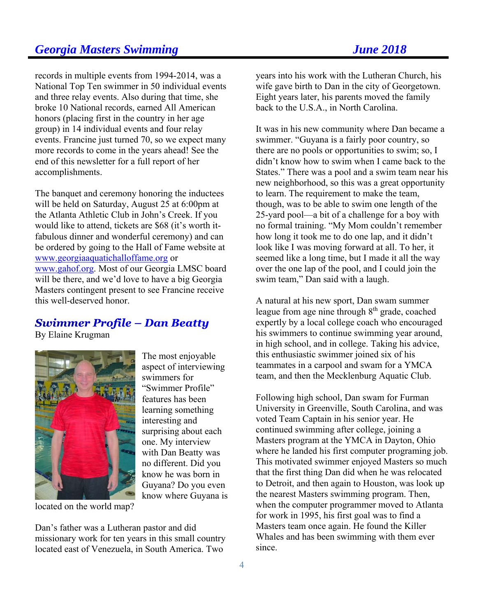# records in multiple events from 1994-2014, was a National Top Ten swimmer in 50 individual events and three relay events. Also during that time, she

broke 10 National records, earned All American honors (placing first in the country in her age group) in 14 individual events and four relay events. Francine just turned 70, so we expect many more records to come in the years ahead! See the end of this newsletter for a full report of her accomplishments.

The banquet and ceremony honoring the inductees will be held on Saturday, August 25 at 6:00pm at the Atlanta Athletic Club in John's Creek. If you would like to attend, tickets are \$68 (it's worth itfabulous dinner and wonderful ceremony) and can be ordered by going to the Hall of Fame website at www.georgiaaquatichalloffame.org or www.gahof.org. Most of our Georgia LMSC board will be there, and we'd love to have a big Georgia Masters contingent present to see Francine receive this well-deserved honor.

# Swimmer Profile – Dan Beatty

The most enjoyable aspect of interviewing

surprising about each one. My interview with Dan Beatty was no different. Did you know he was born in Guyana? Do you even know where Guyana is

swimmers for "Swimmer Profile" features has been learning something interesting and

By Elaine Krugman



located on the world map?

Dan's father was a Lutheran pastor and did missionary work for ten years in this small country located east of Venezuela, in South America. Two

years into his work with the Lutheran Church, his wife gave birth to Dan in the city of Georgetown. Eight years later, his parents moved the family back to the U.S.A., in North Carolina.

It was in his new community where Dan became a swimmer. "Guyana is a fairly poor country, so there are no pools or opportunities to swim; so, I didn't know how to swim when I came back to the States." There was a pool and a swim team near his new neighborhood, so this was a great opportunity to learn. The requirement to make the team, though, was to be able to swim one length of the 25-yard pool—a bit of a challenge for a boy with no formal training. "My Mom couldn't remember how long it took me to do one lap, and it didn't look like I was moving forward at all. To her, it seemed like a long time, but I made it all the way over the one lap of the pool, and I could join the swim team," Dan said with a laugh.

A natural at his new sport, Dan swam summer league from age nine through  $8<sup>th</sup>$  grade, coached expertly by a local college coach who encouraged his swimmers to continue swimming year around, in high school, and in college. Taking his advice, this enthusiastic swimmer joined six of his teammates in a carpool and swam for a YMCA team, and then the Mecklenburg Aquatic Club.

Following high school, Dan swam for Furman University in Greenville, South Carolina, and was voted Team Captain in his senior year. He continued swimming after college, joining a Masters program at the YMCA in Dayton, Ohio where he landed his first computer programing job. This motivated swimmer enjoyed Masters so much that the first thing Dan did when he was relocated to Detroit, and then again to Houston, was look up the nearest Masters swimming program. Then, when the computer programmer moved to Atlanta for work in 1995, his first goal was to find a Masters team once again. He found the Killer Whales and has been swimming with them ever since.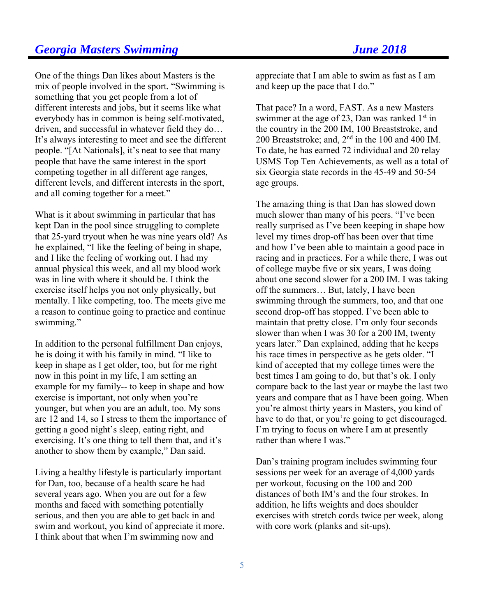One of the things Dan likes about Masters is the mix of people involved in the sport. "Swimming is something that you get people from a lot of different interests and jobs, but it seems like what everybody has in common is being self-motivated, driven, and successful in whatever field they do… It's always interesting to meet and see the different people. "[At Nationals], it's neat to see that many people that have the same interest in the sport competing together in all different age ranges, different levels, and different interests in the sport, and all coming together for a meet."

What is it about swimming in particular that has kept Dan in the pool since struggling to complete that 25-yard tryout when he was nine years old? As he explained, "I like the feeling of being in shape, and I like the feeling of working out. I had my annual physical this week, and all my blood work was in line with where it should be. I think the exercise itself helps you not only physically, but mentally. I like competing, too. The meets give me a reason to continue going to practice and continue swimming."

In addition to the personal fulfillment Dan enjoys, he is doing it with his family in mind. "I like to keep in shape as I get older, too, but for me right now in this point in my life, I am setting an example for my family-- to keep in shape and how exercise is important, not only when you're younger, but when you are an adult, too. My sons are 12 and 14, so I stress to them the importance of getting a good night's sleep, eating right, and exercising. It's one thing to tell them that, and it's another to show them by example," Dan said.

Living a healthy lifestyle is particularly important for Dan, too, because of a health scare he had several years ago. When you are out for a few months and faced with something potentially serious, and then you are able to get back in and swim and workout, you kind of appreciate it more. I think about that when I'm swimming now and

appreciate that I am able to swim as fast as I am and keep up the pace that I do."

That pace? In a word, FAST. As a new Masters swimmer at the age of 23, Dan was ranked  $1<sup>st</sup>$  in the country in the 200 IM, 100 Breaststroke, and 200 Breaststroke; and, 2nd in the 100 and 400 IM. To date, he has earned 72 individual and 20 relay USMS Top Ten Achievements, as well as a total of six Georgia state records in the 45-49 and 50-54 age groups.

The amazing thing is that Dan has slowed down much slower than many of his peers. "I've been really surprised as I've been keeping in shape how level my times drop-off has been over that time and how I've been able to maintain a good pace in racing and in practices. For a while there, I was out of college maybe five or six years, I was doing about one second slower for a 200 IM. I was taking off the summers… But, lately, I have been swimming through the summers, too, and that one second drop-off has stopped. I've been able to maintain that pretty close. I'm only four seconds slower than when I was 30 for a 200 IM, twenty years later." Dan explained, adding that he keeps his race times in perspective as he gets older. "I kind of accepted that my college times were the best times I am going to do, but that's ok. I only compare back to the last year or maybe the last two years and compare that as I have been going. When you're almost thirty years in Masters, you kind of have to do that, or you're going to get discouraged. I'm trying to focus on where I am at presently rather than where I was."

Dan's training program includes swimming four sessions per week for an average of 4,000 yards per workout, focusing on the 100 and 200 distances of both IM's and the four strokes. In addition, he lifts weights and does shoulder exercises with stretch cords twice per week, along with core work (planks and sit-ups).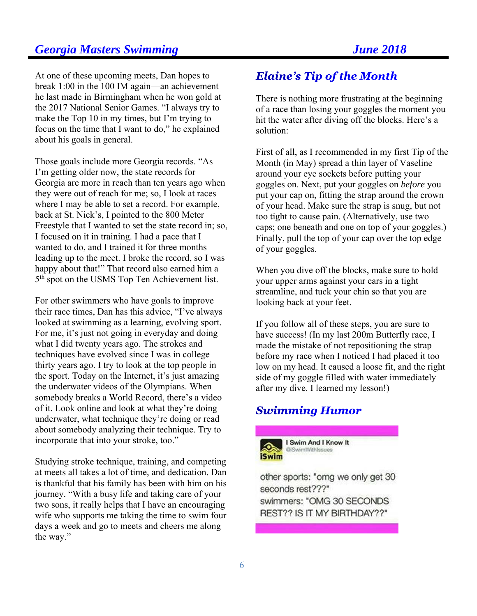At one of these upcoming meets, Dan hopes to break 1:00 in the 100 IM again—an achievement he last made in Birmingham when he won gold at the 2017 National Senior Games. "I always try to make the Top 10 in my times, but I'm trying to focus on the time that I want to do," he explained about his goals in general.

Those goals include more Georgia records. "As I'm getting older now, the state records for Georgia are more in reach than ten years ago when they were out of reach for me; so, I look at races where I may be able to set a record. For example, back at St. Nick's, I pointed to the 800 Meter Freestyle that I wanted to set the state record in; so, I focused on it in training. I had a pace that I wanted to do, and I trained it for three months leading up to the meet. I broke the record, so I was happy about that!" That record also earned him a 5<sup>th</sup> spot on the USMS Top Ten Achievement list.

For other swimmers who have goals to improve their race times, Dan has this advice, "I've always looked at swimming as a learning, evolving sport. For me, it's just not going in everyday and doing what I did twenty years ago. The strokes and techniques have evolved since I was in college thirty years ago. I try to look at the top people in the sport. Today on the Internet, it's just amazing the underwater videos of the Olympians. When somebody breaks a World Record, there's a video of it. Look online and look at what they're doing underwater, what technique they're doing or read about somebody analyzing their technique. Try to incorporate that into your stroke, too."

Studying stroke technique, training, and competing at meets all takes a lot of time, and dedication. Dan is thankful that his family has been with him on his journey. "With a busy life and taking care of your two sons, it really helps that I have an encouraging wife who supports me taking the time to swim four days a week and go to meets and cheers me along the way."

# **Elaine's Tip of the Month**

There is nothing more frustrating at the beginning of a race than losing your goggles the moment you hit the water after diving off the blocks. Here's a solution:

First of all, as I recommended in my first Tip of the Month (in May) spread a thin layer of Vaseline around your eye sockets before putting your goggles on. Next, put your goggles on *before* you put your cap on, fitting the strap around the crown of your head. Make sure the strap is snug, but not too tight to cause pain. (Alternatively, use two caps; one beneath and one on top of your goggles.) Finally, pull the top of your cap over the top edge of your goggles.

When you dive off the blocks, make sure to hold your upper arms against your ears in a tight streamline, and tuck your chin so that you are looking back at your feet.

If you follow all of these steps, you are sure to have success! (In my last 200m Butterfly race, I made the mistake of not repositioning the strap before my race when I noticed I had placed it too low on my head. It caused a loose fit, and the right side of my goggle filled with water immediately after my dive. I learned my lesson!)

# **Swimming Humor**



I Swim And I Know It **@SwimWithlesnes** 

other sports: "omg we only get 30 seconds rest???" swimmers: "OMG 30 SECONDS REST?? IS IT MY BIRTHDAY??"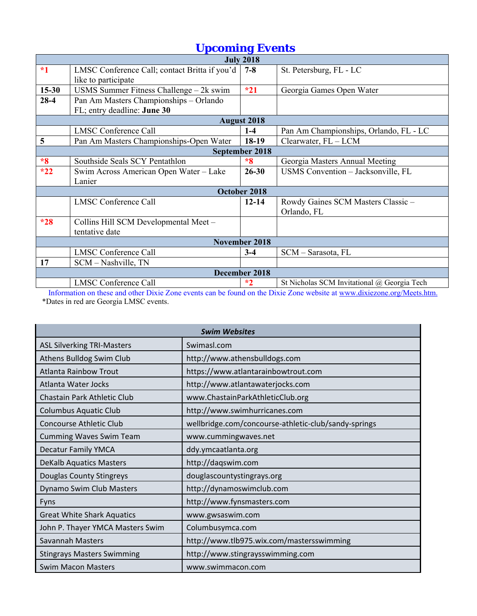|           | орсоннің бүсне                                |                       |                                             |  |  |  |  |
|-----------|-----------------------------------------------|-----------------------|---------------------------------------------|--|--|--|--|
|           | <b>July 2018</b>                              |                       |                                             |  |  |  |  |
| $*1$      | LMSC Conference Call; contact Britta if you'd | $7 - 8$               | St. Petersburg, FL - LC                     |  |  |  |  |
|           | like to participate                           |                       |                                             |  |  |  |  |
| $15 - 30$ | USMS Summer Fitness Challenge $-2k$ swim      | $*21$                 | Georgia Games Open Water                    |  |  |  |  |
| $28-4$    | Pan Am Masters Championships - Orlando        |                       |                                             |  |  |  |  |
|           | FL; entry deadline: June 30                   |                       |                                             |  |  |  |  |
|           |                                               | <b>August 2018</b>    |                                             |  |  |  |  |
|           | <b>LMSC Conference Call</b>                   | $1 - 4$               | Pan Am Championships, Orlando, FL - LC      |  |  |  |  |
| 5         | Pan Am Masters Championships-Open Water       | 18-19                 | Clearwater, FL - LCM                        |  |  |  |  |
|           |                                               | <b>September 2018</b> |                                             |  |  |  |  |
| $*8$      | Southside Seals SCY Pentathlon                | $*8$                  | Georgia Masters Annual Meeting              |  |  |  |  |
| $*22$     | Swim Across American Open Water - Lake        | $26 - 30$             | USMS Convention - Jacksonville, FL          |  |  |  |  |
|           | Lanier                                        |                       |                                             |  |  |  |  |
|           |                                               | October 2018          |                                             |  |  |  |  |
|           | <b>LMSC Conference Call</b>                   | $12 - 14$             | Rowdy Gaines SCM Masters Classic -          |  |  |  |  |
|           |                                               |                       | Orlando, FL                                 |  |  |  |  |
| $*28$     | Collins Hill SCM Developmental Meet -         |                       |                                             |  |  |  |  |
|           | tentative date                                |                       |                                             |  |  |  |  |
|           |                                               | November 2018         |                                             |  |  |  |  |
|           | <b>LMSC Conference Call</b>                   | $3-4$                 | SCM - Sarasota, FL                          |  |  |  |  |
| 17        | SCM – Nashville, TN                           |                       |                                             |  |  |  |  |
|           |                                               | December 2018         |                                             |  |  |  |  |
|           | <b>LMSC</b> Conference Call                   | $*2$                  | St Nicholas SCM Invitational @ Georgia Tech |  |  |  |  |
|           |                                               |                       |                                             |  |  |  |  |

 Information on these and other Dixie Zone events can be found on the Dixie Zone website at www.dixiezone.org/Meets.htm. \*Dates in red are Georgia LMSC events.

| <b>Swim Websites</b>              |                                                      |  |  |  |
|-----------------------------------|------------------------------------------------------|--|--|--|
| <b>ASL Silverking TRI-Masters</b> | Swimasl.com                                          |  |  |  |
| Athens Bulldog Swim Club          | http://www.athensbulldogs.com                        |  |  |  |
| <b>Atlanta Rainbow Trout</b>      | https://www.atlantarainbowtrout.com                  |  |  |  |
| Atlanta Water Jocks               | http://www.atlantawaterjocks.com                     |  |  |  |
| Chastain Park Athletic Club       | www.ChastainParkAthleticClub.org                     |  |  |  |
| <b>Columbus Aquatic Club</b>      | http://www.swimhurricanes.com                        |  |  |  |
| Concourse Athletic Club           | wellbridge.com/concourse-athletic-club/sandy-springs |  |  |  |
| <b>Cumming Waves Swim Team</b>    | www.cummingwaves.net                                 |  |  |  |
| <b>Decatur Family YMCA</b>        | ddy.ymcaatlanta.org                                  |  |  |  |
| <b>DeKalb Aquatics Masters</b>    | http://daqswim.com                                   |  |  |  |
| Douglas County Stingreys          | douglascountystingrays.org                           |  |  |  |
| Dynamo Swim Club Masters          | http://dynamoswimclub.com                            |  |  |  |
| Fyns                              | http://www.fynsmasters.com                           |  |  |  |
| <b>Great White Shark Aquatics</b> | www.gwsaswim.com                                     |  |  |  |
| John P. Thayer YMCA Masters Swim  | Columbusymca.com                                     |  |  |  |
| Savannah Masters                  | http://www.tlb975.wix.com/mastersswimming            |  |  |  |
| <b>Stingrays Masters Swimming</b> | http://www.stingraysswimming.com                     |  |  |  |
| <b>Swim Macon Masters</b>         | www.swimmacon.com                                    |  |  |  |

# *Upcoming Events*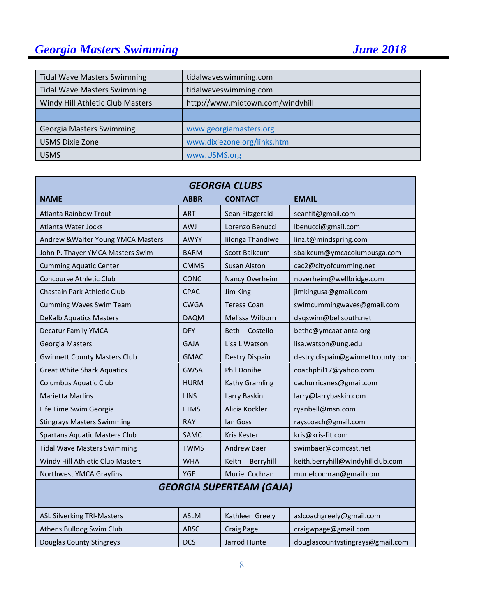| <b>Tidal Wave Masters Swimming</b> | tidalwaveswimming.com            |
|------------------------------------|----------------------------------|
| <b>Tidal Wave Masters Swimming</b> | tidalwaveswimming.com            |
| Windy Hill Athletic Club Masters   | http://www.midtown.com/windyhill |
|                                    |                                  |
| <b>Georgia Masters Swimming</b>    | www.georgiamasters.org           |
| <b>USMS Dixie Zone</b>             | www.dixiezone.org/links.htm      |
| <b>USMS</b>                        | www.USMS.org                     |

| <b>GEORGIA CLUBS</b>                 |             |                     |                                   |  |  |
|--------------------------------------|-------------|---------------------|-----------------------------------|--|--|
| <b>NAME</b>                          | <b>ABBR</b> | <b>CONTACT</b>      | <b>EMAIL</b>                      |  |  |
| <b>Atlanta Rainbow Trout</b>         | <b>ART</b>  | Sean Fitzgerald     | seanfit@gmail.com                 |  |  |
| <b>Atlanta Water Jocks</b>           | <b>AWJ</b>  | Lorenzo Benucci     | lbenucci@gmail.com                |  |  |
| Andrew & Walter Young YMCA Masters   | <b>AWYY</b> | Iilonga Thandiwe    | linz.t@mindspring.com             |  |  |
| John P. Thayer YMCA Masters Swim     | <b>BARM</b> | Scott Balkcum       | sbalkcum@ymcacolumbusga.com       |  |  |
| <b>Cumming Aquatic Center</b>        | <b>CMMS</b> | <b>Susan Alston</b> | cac2@cityofcumming.net            |  |  |
| <b>Concourse Athletic Club</b>       | <b>CONC</b> | Nancy Overheim      | noverheim@wellbridge.com          |  |  |
| Chastain Park Athletic Club          | <b>CPAC</b> | Jim King            | jimkingusa@gmail.com              |  |  |
| <b>Cumming Waves Swim Team</b>       | <b>CWGA</b> | <b>Teresa Coan</b>  | swimcummingwaves@gmail.com        |  |  |
| <b>DeKalb Aquatics Masters</b>       | <b>DAQM</b> | Melissa Wilborn     | daqswim@bellsouth.net             |  |  |
| <b>Decatur Family YMCA</b>           | <b>DFY</b>  | Beth<br>Costello    | bethc@ymcaatlanta.org             |  |  |
| Georgia Masters                      | <b>GAJA</b> | Lisa L Watson       | lisa.watson@ung.edu               |  |  |
| <b>Gwinnett County Masters Club</b>  | <b>GMAC</b> | Destry Dispain      | destry.dispain@gwinnettcounty.com |  |  |
| <b>Great White Shark Aquatics</b>    | <b>GWSA</b> | <b>Phil Donihe</b>  | coachphil17@yahoo.com             |  |  |
| <b>Columbus Aquatic Club</b>         | <b>HURM</b> | Kathy Gramling      | cachurricanes@gmail.com           |  |  |
| <b>Marietta Marlins</b>              | <b>LINS</b> | Larry Baskin        | larry@larrybaskin.com             |  |  |
| Life Time Swim Georgia               | <b>LTMS</b> | Alicia Kockler      | ryanbell@msn.com                  |  |  |
| <b>Stingrays Masters Swimming</b>    | <b>RAY</b>  | lan Goss            | rayscoach@gmail.com               |  |  |
| <b>Spartans Aquatic Masters Club</b> | <b>SAMC</b> | <b>Kris Kester</b>  | kris@kris-fit.com                 |  |  |
| <b>Tidal Wave Masters Swimming</b>   | <b>TWMS</b> | <b>Andrew Baer</b>  | swimbaer@comcast.net              |  |  |
| Windy Hill Athletic Club Masters     | <b>WHA</b>  | Keith<br>Berryhill  | keith.berryhill@windyhillclub.com |  |  |
| Northwest YMCA Grayfins              | <b>YGF</b>  | Muriel Cochran      | murielcochran@gmail.com           |  |  |
| <b>GEORGIA SUPERTEAM (GAJA)</b>      |             |                     |                                   |  |  |
| <b>ASL Silverking TRI-Masters</b>    | <b>ASLM</b> | Kathleen Greely     | aslcoachgreely@gmail.com          |  |  |
| Athens Bulldog Swim Club             | <b>ABSC</b> | <b>Craig Page</b>   | craigwpage@gmail.com              |  |  |

Douglas County Stingreys **DUCS** Jarrod Hunte douglascountystingrays@gmail.com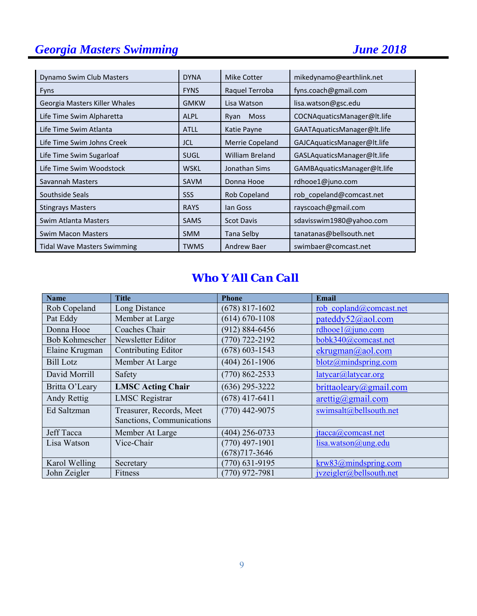| Dynamo Swim Club Masters           | <b>DYNA</b> | Mike Cotter            | mikedynamo@earthlink.net    |
|------------------------------------|-------------|------------------------|-----------------------------|
| <b>Fyns</b>                        | <b>FYNS</b> | Raquel Terroba         | fyns.coach@gmail.com        |
| Georgia Masters Killer Whales      | <b>GMKW</b> | Lisa Watson            | lisa.watson@gsc.edu         |
| Life Time Swim Alpharetta          | <b>ALPL</b> | <b>Moss</b><br>Ryan    | COCNAquaticsManager@lt.life |
| Life Time Swim Atlanta             | <b>ATLL</b> | Katie Payne            | GAATAquaticsManager@lt.life |
| Life Time Swim Johns Creek         | JCL         | Merrie Copeland        | GAJCAquaticsManager@lt.life |
| Life Time Swim Sugarloaf           | <b>SUGL</b> | <b>William Breland</b> | GASLAquaticsManager@lt.life |
| Life Time Swim Woodstock           | <b>WSKL</b> | Jonathan Sims          | GAMBAquaticsManager@lt.life |
| Savannah Masters                   | SAVM        | Donna Hooe             | rdhooe1@juno.com            |
| Southside Seals                    | <b>SSS</b>  | Rob Copeland           | rob copeland@comcast.net    |
| <b>Stingrays Masters</b>           | <b>RAYS</b> | lan Goss               | rayscoach@gmail.com         |
| Swim Atlanta Masters               | <b>SAMS</b> | <b>Scot Davis</b>      | sdavisswim1980@yahoo.com    |
| <b>Swim Macon Masters</b>          | <b>SMM</b>  | Tana Selby             | tanatanas@bellsouth.net     |
| <b>Tidal Wave Masters Swimming</b> | <b>TWMS</b> | Andrew Baer            | swimbaer@comcast.net        |

# *Who Y*=*All Can Call*

| <b>Name</b>           | <b>Title</b>               | <b>Phone</b>       | <b>Email</b>                       |
|-----------------------|----------------------------|--------------------|------------------------------------|
| Rob Copeland          | Long Distance              | $(678)$ 817-1602   | rob copland@comcast.net            |
| Pat Eddy              | Member at Large            | $(614) 670 - 1108$ | pateddy52@aol.com                  |
| Donna Hooe            | Coaches Chair              | $(912) 884 - 6456$ | rdhooel $@$ juno.com               |
| <b>Bob Kohmescher</b> | Newsletter Editor          | $(770) 722 - 2192$ | bobk340@comcast.net                |
| Elaine Krugman        | <b>Contributing Editor</b> | $(678)$ 603-1543   | ekrugman@aol.com                   |
| <b>Bill Lotz</b>      | Member At Large            | $(404)$ 261-1906   | blotz@mindspring.com               |
| David Morrill         | Safety                     | $(770) 862 - 2533$ | latycar@latycar.org                |
| Britta O'Leary        | <b>LMSC Acting Chair</b>   | $(636)$ 295-3222   | brittaoleary@gmail.com             |
| Andy Rettig           | <b>LMSC</b> Registrar      | $(678)$ 417-6411   | $\arcti\frac{g}{\omega}$ gmail.com |
| Ed Saltzman           | Treasurer, Records, Meet   | $(770)$ 442-9075   | swimsalt@bellsouth.net             |
|                       | Sanctions, Communications  |                    |                                    |
| Jeff Tacca            | Member At Large            | $(404)$ 256-0733   | jtacca@comcast.net                 |
| Lisa Watson           | Vice-Chair                 | $(770)$ 497-1901   | lisa.watson@ung.edu                |
|                       |                            | $(678)717 - 3646$  |                                    |
| Karol Welling         | Secretary                  | $(770)$ 631-9195   | krw83@mindspring.com               |
| John Zeigler          | Fitness                    | $(770)$ 972-7981   | jvzeigler@bellsouth.net            |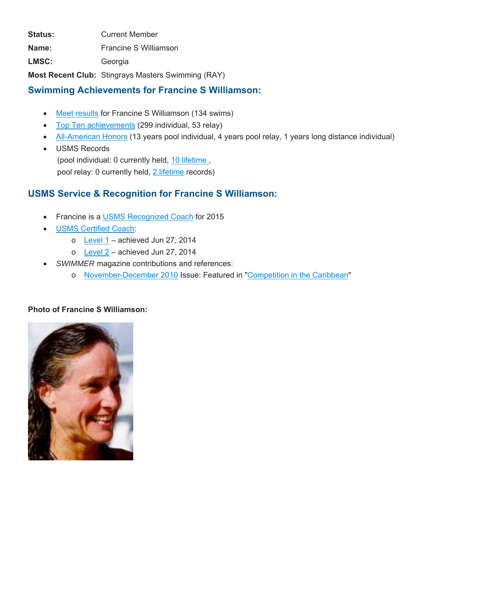Status: **Current Member** 

**Name:** Francine S Williamson

**LMSC:** Georgia

**Most Recent Club:** Stingrays Masters Swimming (RAY)

## **Swimming Achievements for Francine S Williamson:**

- Meet results for Francine S Williamson (134 swims)
- Top Ten achievements (299 individual, 53 relay)
- All-American Honors (13 years pool individual, 4 years pool relay, 1 years long distance individual)
- USMS Records (pool individual: 0 currently held, 10 lifetime , pool relay: 0 currently held, 2 lifetime records)

# **USMS Service & Recognition for Francine S Williamson:**

- **Francine is a USMS Recognized Coach for 2015**
- USMS Certified Coach:
	- $\circ$  Level 1 achieved Jun 27, 2014
	- $\circ$  Level 2 achieved Jun 27, 2014
- *SWIMMER* magazine contributions and references:
	- o November-December 2010 Issue: Featured in "Competition in the Caribbean"

#### **Photo of Francine S Williamson:**

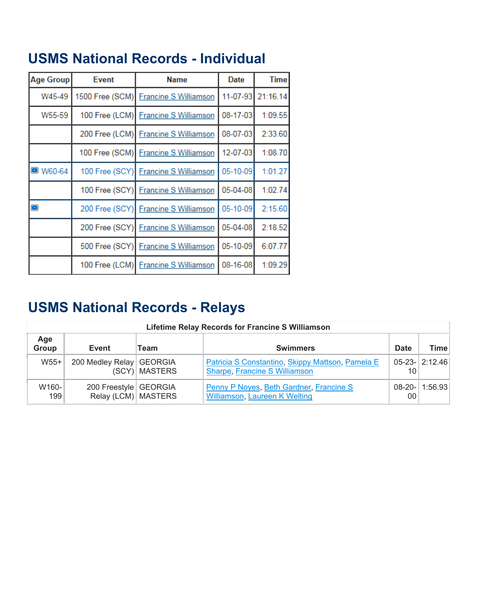| Age Group       | <b>Event</b>   | <b>Name</b>                           | <b>Date</b> | <b>Time</b> |
|-----------------|----------------|---------------------------------------|-------------|-------------|
| W45-49          |                | 1500 Free (SCM) Francine S Williamson | 11-07-93    | 21:16.14    |
| W55-59          |                | 100 Free (LCM) Francine S Williamson  | 08-17-03    | 1:09.55     |
|                 |                | 200 Free (LCM) Francine S Williamson  | 08-07-03    | 2:33.60     |
|                 |                | 100 Free (SCM) Francine S Williamson  | 12-07-03    | 1:08.70     |
| <b>O</b> W60-64 | 100 Free (SCY) | <b>Francine S Williamson</b>          | 05-10-09    | 1:01.27     |
|                 | 100 Free (SCY) | <b>Francine S Williamson</b>          | 05-04-08    | 1:02.74     |
| $\blacksquare$  | 200 Free (SCY) | <b>Francine S Williamson</b>          | 05-10-09    | 2:15.60     |
|                 | 200 Free (SCY) | <b>Francine S Williamson</b>          | 05-04-08    | 2:18.52     |
|                 | 500 Free (SCY) | <b>Francine S Williamson</b>          | 05-10-09    | 6:07.77     |
|                 |                | 100 Free (LCM) Francine S Williamson  | 08-16-08    | 1:09.29     |

# **USMS National Records - Relays**

|              | <b>Lifetime Relay Records for Francine S Williamson</b> |                 |                                                                                   |                 |                       |  |  |  |
|--------------|---------------------------------------------------------|-----------------|-----------------------------------------------------------------------------------|-----------------|-----------------------|--|--|--|
| Age<br>Group | Event                                                   | Team            | <b>Swimmers</b>                                                                   | <b>Date</b>     | <b>Time</b>           |  |  |  |
| $W55+$       | 200 Medley Relay GEORGIA                                | (SCY)   MASTERS | Patricia S Constantino, Skippy Mattson, Pamela E<br>Sharpe, Francine S Williamson | 10              | $05 - 23 -  2:12.46 $ |  |  |  |
| W160-<br>199 | 200 Freestyle   GEORGIA<br>Relay (LCM) MASTERS          |                 | Penny P Noyes, Beth Gardner, Francine S<br>Williamson, Laureen K Welting          | 00 <sup>1</sup> | $08-20-1:56.93$       |  |  |  |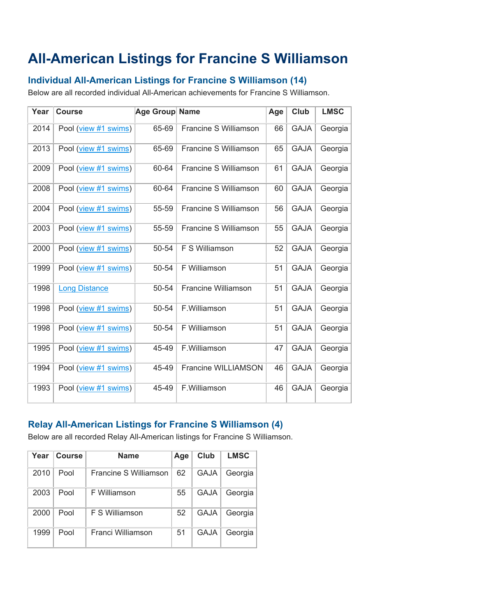# **All-American Listings for Francine S Williamson**

# **Individual All-American Listings for Francine S Williamson (14)**

Below are all recorded individual All-American achievements for Francine S Williamson.

| Year | <b>Course</b>        | Age Group Name |                       | Age | Club        | <b>LMSC</b> |
|------|----------------------|----------------|-----------------------|-----|-------------|-------------|
| 2014 | Pool (view #1 swims) | 65-69          | Francine S Williamson | 66  | <b>GAJA</b> | Georgia     |
| 2013 | Pool (view #1 swims) | 65-69          | Francine S Williamson | 65  | <b>GAJA</b> | Georgia     |
| 2009 | Pool (view #1 swims) | 60-64          | Francine S Williamson | 61  | <b>GAJA</b> | Georgia     |
| 2008 | Pool (view #1 swims) | 60-64          | Francine S Williamson | 60  | <b>GAJA</b> | Georgia     |
| 2004 | Pool (view #1 swims) | 55-59          | Francine S Williamson | 56  | <b>GAJA</b> | Georgia     |
| 2003 | Pool (view #1 swims) | 55-59          | Francine S Williamson | 55  | <b>GAJA</b> | Georgia     |
| 2000 | Pool (view #1 swims) | 50-54          | F S Williamson        | 52  | <b>GAJA</b> | Georgia     |
| 1999 | Pool (view #1 swims) | 50-54          | F Williamson          | 51  | <b>GAJA</b> | Georgia     |
| 1998 | <b>Long Distance</b> | 50-54          | Francine Williamson   | 51  | <b>GAJA</b> | Georgia     |
| 1998 | Pool (view #1 swims) | 50-54          | F.Williamson          | 51  | <b>GAJA</b> | Georgia     |
| 1998 | Pool (view #1 swims) | 50-54          | F Williamson          | 51  | <b>GAJA</b> | Georgia     |
| 1995 | Pool (view #1 swims) | 45-49          | F.Williamson          | 47  | <b>GAJA</b> | Georgia     |
| 1994 | Pool (view #1 swims) | 45-49          | Francine WILLIAMSON   | 46  | <b>GAJA</b> | Georgia     |
| 1993 | Pool (view #1 swims) | 45-49          | F.Williamson          | 46  | <b>GAJA</b> | Georgia     |

# **Relay All-American Listings for Francine S Williamson (4)**

Below are all recorded Relay All-American listings for Francine S Williamson.

| Year | <b>Course</b> | <b>Name</b>           | Age | Club        | <b>LMSC</b> |
|------|---------------|-----------------------|-----|-------------|-------------|
| 2010 | Pool          | Francine S Williamson | 62  | <b>GAJA</b> | Georgia     |
| 2003 | Pool          | F Williamson          | 55  | GAJA        | Georgia     |
| 2000 | Pool          | F S Williamson        | 52  | <b>GAJA</b> | Georgia     |
| 1999 | Pool          | Franci Williamson     | 51  | <b>GAJA</b> | Georgia     |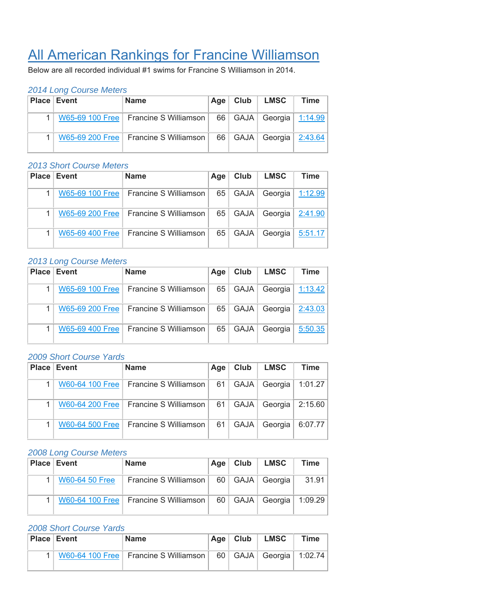# All American Rankings for Francine Williamson

Below are all recorded individual #1 swims for Francine S Williamson in 2014.

#### *2014 Long Course Meters*

| <b>Place Event</b> | <b>Name</b>                             | Age  | Club | │ LMSC                   | Time |
|--------------------|-----------------------------------------|------|------|--------------------------|------|
|                    | W65-69 100 Free   Francine S Williamson | 66 I |      | GAJA   Georgia   1:14.99 |      |
|                    | W65-69 200 Free   Francine S Williamson | 66   |      | GAJA   Georgia   2:43.64 |      |

#### *2013 Short Course Meters*

| Place Event     | <b>Name</b>                             | Age | Club        | <b>LMSC</b> | <b>Time</b> |
|-----------------|-----------------------------------------|-----|-------------|-------------|-------------|
|                 | W65-69 100 Free   Francine S Williamson | 65  | GAJA        | Georgia     | 1:12.99     |
|                 | W65-69 200 Free   Francine S Williamson | 65  | <b>GAJA</b> | Georgia     | 2:41.90     |
| W65-69 400 Free | Francine S Williamson                   | 65  | <b>GAJA</b> | Georgia     | 5:51.17     |

#### *2013 Long Course Meters*

| <b>Place Event</b> | <b>Name</b>                             | Age | Club        | <b>LMSC</b> | <b>Time</b> |
|--------------------|-----------------------------------------|-----|-------------|-------------|-------------|
| W65-69 100 Free    | Francine S Williamson                   | 65  | GAJA        | Georgia     | 1:13.42     |
|                    | W65-69 200 Free   Francine S Williamson | 65  | <b>GAJA</b> | Georgia     | 2:43.03     |
| W65-69 400 Free    | Francine S Williamson                   | 65  | <b>GAJA</b> | Georgia     | 5:50.35     |

#### *2009 Short Course Yards*

| Place Event | <b>Name</b>                             | Age  | Club          | <b>LMSC</b> | <b>Time</b>        |
|-------------|-----------------------------------------|------|---------------|-------------|--------------------|
|             | W60-64 100 Free   Francine S Williamson | 61   | GAJA          | Georgia     | 1:01.27            |
|             | W60-64 200 Free   Francine S Williamson | - 61 | GAJA          |             | Georgia $ 2:15.60$ |
|             | W60-64 500 Free   Francine S Williamson | 61   | <b>GAJA</b> I | Georgia     | 6:07.77            |

#### *2008 Long Course Meters*

| <b>Place Event</b>    | <b>Name</b>                             | ∶Aqe ∣ | Club | LMSC                | Time    |
|-----------------------|-----------------------------------------|--------|------|---------------------|---------|
| <b>W60-64 50 Free</b> | Francine S Williamson                   |        |      | 60   GAJA   Georgia | 31.91   |
|                       | W60-64 100 Free   Francine S Williamson | 60 l   |      | GAJA   Georgia      | 1:09.29 |

| <b>Place Event</b> | <b>Name</b>                             | Age $ $ | Club | <b>LMSC</b>              | <b>Time</b> |
|--------------------|-----------------------------------------|---------|------|--------------------------|-------------|
|                    | W60-64 100 Free   Francine S Williamson | 60      |      | GAJA   Georgia   1:02.74 |             |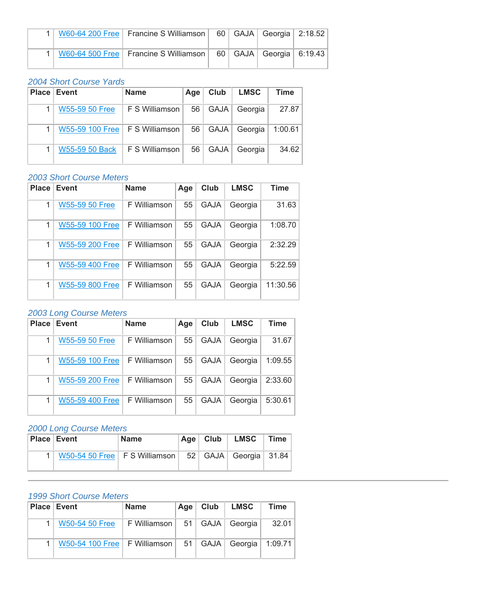|  | 1   W60-64 200 Free   Francine S Williamson   60   GAJA   Georgia   2:18.52 |  |  |
|--|-----------------------------------------------------------------------------|--|--|
|  | 1   W60-64 500 Free   Francine S Williamson   60   GAJA   Georgia   6:19.43 |  |  |

## *2004 Short Course Yards*

| <b>Place Event</b>               | <b>Name</b>    | Age | Club        | <b>LMSC</b> | Time    |
|----------------------------------|----------------|-----|-------------|-------------|---------|
| <b>W55-59 50 Free</b>            | F S Williamson | 56  | GAJA        | Georgia     | 27.87   |
| W55-59 100 Free   F S Williamson |                | 56  | GAJA        | Georgia     | 1:00.61 |
| W55-59 50 Back                   | F S Williamson | 56  | <b>GAJA</b> | Georgia     | 34.62   |

# *2003 Short Course Meters*

| <b>Place</b> | <b>Event</b>           | <b>Name</b>  | Age | Club        | <b>LMSC</b> | <b>Time</b> |
|--------------|------------------------|--------------|-----|-------------|-------------|-------------|
|              | <b>W55-59 50 Free</b>  | F Williamson | 55  | <b>GAJA</b> | Georgia     | 31.63       |
|              | W55-59 100 Free        | F Williamson | 55  | <b>GAJA</b> | Georgia     | 1:08.70     |
|              | W55-59 200 Free        | F Williamson | 55  | <b>GAJA</b> | Georgia     | 2:32.29     |
| 1            | <b>W55-59 400 Free</b> | F Williamson | 55  | <b>GAJA</b> | Georgia     | 5:22.59     |
|              | W55-59 800 Free        | F Williamson | 55  | <b>GAJA</b> | Georgia     | 11:30.56    |

# *2003 Long Course Meters*

| <b>Place</b> | <b>Event</b>          | <b>Name</b>  | Age | <b>Club</b> | <b>LMSC</b> | Time    |
|--------------|-----------------------|--------------|-----|-------------|-------------|---------|
| 1            | <b>W55-59 50 Free</b> | F Williamson | 55  | <b>GAJA</b> | Georgia     | 31.67   |
|              | W55-59 100 Free       | F Williamson | 55  | <b>GAJA</b> | Georgia     | 1:09.55 |
|              | W55-59 200 Free       | F Williamson | 55  | <b>GAJA</b> | Georgia     | 2:33.60 |
|              | W55-59 400 Free       | F Williamson | 55  | <b>GAJA</b> | Georgia     | 5:30.61 |

#### *2000 Long Course Meters*

| <b>Place Event</b> | <b>Name</b>                                   | Age $ $ | Club | <b>LMSC</b>             | <b>Time</b> |
|--------------------|-----------------------------------------------|---------|------|-------------------------|-------------|
|                    | W50-54 50 Free $\vert$ F S Williamson $\vert$ |         |      | $52$ GAJA Georgia 31.84 |             |

| <b>Place Event</b>             | <b>Name</b>                        | Age  | Club | <b>LMSC</b>    | <b>Time</b> |
|--------------------------------|------------------------------------|------|------|----------------|-------------|
| W50-54 50 Free                 | F Williamson   51   GAJA   Georgia |      |      |                | 32.01       |
| W50-54 100 Free   F Williamson |                                    | - 51 |      | GAJA   Georgia | 1:09.71     |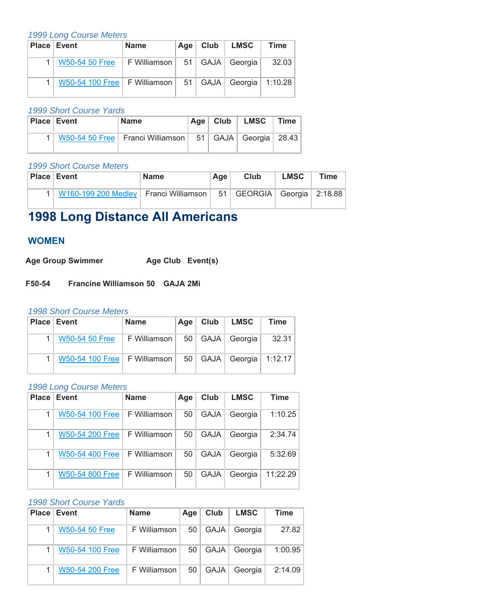| <b>Place Event</b>             | <b>Name</b>    | $Age \vert$ | $\sqrt{C}$ Club | <b>LMSC</b>              | <b>Time</b> |
|--------------------------------|----------------|-------------|-----------------|--------------------------|-------------|
| <b>W50-54 50 Free</b>          | F Williamson ∣ |             |                 | 51   GAJA   Georgia      | 32.03       |
| W50-54 100 Free   F Williamson |                | 51          |                 | GAJA   Georgia   1:10.28 |             |

#### *1999 Short Course Yards*

| <b>Place Event</b> | Name                                                                 | Age $ $ Club | $LMSC$   Time |  |
|--------------------|----------------------------------------------------------------------|--------------|---------------|--|
|                    | 1   W50-54 50 Free   Franci Williamson   51   GAJA   Georgia   28.43 |              |               |  |

#### *1999 Short Course Meters*

| <b>Place Event</b>                          | <b>Name</b> | Age | Club                             | <b>LMSC</b> | <b>Time</b> |
|---------------------------------------------|-------------|-----|----------------------------------|-------------|-------------|
| 1   W160-199 200 Medley   Franci Williamson |             |     | 51   GEORGIA   Georgia   2:18.88 |             |             |

# **1998 Long Distance All Americans**

## **WOMEN**

Age Group Swimmer **Age Club Event(s)** 

**F50-54 Francine Williamson 50 GAJA 2Mi** 

#### *1998 Short Course Meters*

| <b>Place Event</b>             | <b>Name</b>  | Age             | Club | LMSC                     | <b>Time</b> |
|--------------------------------|--------------|-----------------|------|--------------------------|-------------|
| W50-54 50 Free                 | F Williamson |                 |      | 50   GAJA   Georgia      | 32.31       |
| W50-54 100 Free   F Williamson |              | 50 <sup>1</sup> |      | GAJA   Georgia   1:12.17 |             |

#### *1998 Long Course Meters*

| <b>Place</b> | Event           | <b>Name</b>  | Age | Club        | <b>LMSC</b> | <b>Time</b> |
|--------------|-----------------|--------------|-----|-------------|-------------|-------------|
|              | W50-54 100 Free | F Williamson | 50  | <b>GAJA</b> | Georgia     | 1:10.25     |
|              | W50-54 200 Free | F Williamson | 50  | <b>GAJA</b> | Georgia     | 2:34.74     |
|              | W50-54 400 Free | F Williamson | 50  | <b>GAJA</b> | Georgia     | 5:32.69     |
|              | W50-54 800 Free | F Williamson | 50  | <b>GAJA</b> | Georgia     | 11:22.29    |

| <b>Place</b> | <b>⊩Event</b>         | <b>Name</b>  | Age | Club        | <b>LMSC</b> | Time    |
|--------------|-----------------------|--------------|-----|-------------|-------------|---------|
|              | <b>W50-54 50 Free</b> | F Williamson | 50  | <b>GAJA</b> | Georgia     | 27.82   |
|              | W50-54 100 Free       | F Williamson | 50  | <b>GAJA</b> | Georgia     | 1:00.95 |
|              | W50-54 200 Free       | F Williamson | 50  | <b>GAJA</b> | Georgia     | 2:14.09 |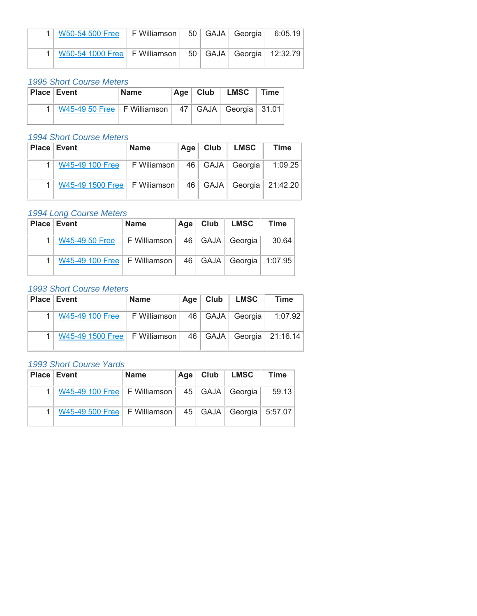| 1   W50-54 500 Free   F Williamson   50   GAJA   Georgia   6:05.19   |  |  |  |
|----------------------------------------------------------------------|--|--|--|
| 1   W50-54 1000 Free   F Williamson   50   GAJA   Georgia   12:32.79 |  |  |  |

*1995 Short Course Meters*

| <b>Place Event</b> |                                                             | <b>Name</b> | $Age \vert$ | Club | <b>LMSC</b> | <b>Time</b> |
|--------------------|-------------------------------------------------------------|-------------|-------------|------|-------------|-------------|
|                    | W45-49 50 Free   F Williamson   47   GAJA   Georgia   31.01 |             |             |      |             |             |

#### *1994 Short Course Meters*

| <b>Place Event</b>             | Name        | Aqe | Club | <b>LMSC</b>         | Time                           |
|--------------------------------|-------------|-----|------|---------------------|--------------------------------|
| W45-49 100 Free                | F Wiliamson |     |      | 46   GAJA   Georgia | 1:09.25                        |
| W45-49 1500 Free   F Wiliamson |             |     |      |                     | 46   GAJA   Georgia   21:42.20 |

#### *1994 Long Course Meters*

| <b>Place Event</b>                           | <b>Name</b>    | Age | Club | <b>LMSC</b> | Time    |
|----------------------------------------------|----------------|-----|------|-------------|---------|
| W45-49 50 Free                               | F Williamson I | 46  | GAJA | Georgia     | 30.64   |
| W45-49 100 Free $\vert$ F Williamson $\vert$ |                | 46  | GAJA | Georgia     | 1:07.95 |

#### *1993 Short Course Meters*

| <b>Place Event</b>              | <b>Name</b>  | Age <sub>  </sub> | Club | LMSC                | Time                           |
|---------------------------------|--------------|-------------------|------|---------------------|--------------------------------|
| W45-49 100 Free                 | F Williamson |                   |      | 46   GAJA   Georgia | 1:07.92                        |
| W45-49 1500 Free   F Williamson |              |                   |      |                     | 46   GAJA   Georgia   21:16.14 |

| <b>Place Event</b>                                             | <b>Name</b> | Age $ $ | Club   LMSC | Time  |
|----------------------------------------------------------------|-------------|---------|-------------|-------|
| W45-49 100 Free   F Williamson   45   GAJA   Georgia           |             |         |             | 59.13 |
| W45-49 500 Free   F Williamson   45   GAJA   Georgia   5:57.07 |             |         |             |       |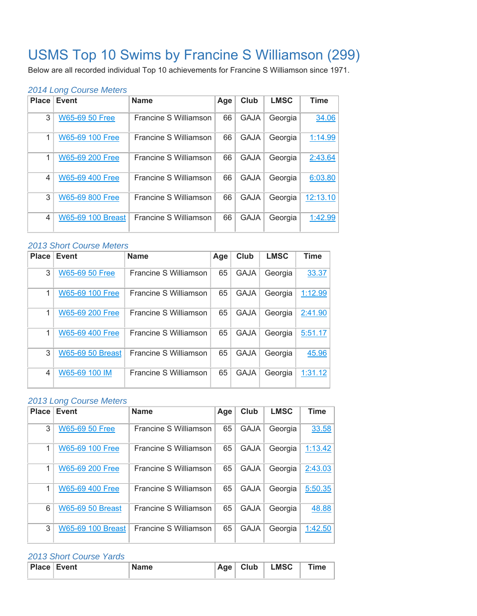# USMS Top 10 Swims by Francine S Williamson (299)

Below are all recorded individual Top 10 achievements for Francine S Williamson since 1971.

#### *2014 Long Course Meters*

| <b>Place</b> | <b>Event</b>             | <b>Name</b>           | Age | Club        | <b>LMSC</b> | <b>Time</b> |
|--------------|--------------------------|-----------------------|-----|-------------|-------------|-------------|
| 3            | <b>W65-69 50 Free</b>    | Francine S Williamson | 66  | <b>GAJA</b> | Georgia     | 34.06       |
| 1            | W65-69 100 Free          | Francine S Williamson | 66  | <b>GAJA</b> | Georgia     | 1:14.99     |
| 1            | W65-69 200 Free          | Francine S Williamson | 66  | <b>GAJA</b> | Georgia     | 2:43.64     |
| 4            | <b>W65-69 400 Free</b>   | Francine S Williamson | 66  | <b>GAJA</b> | Georgia     | 6:03.80     |
| 3            | W65-69 800 Free          | Francine S Williamson | 66  | <b>GAJA</b> | Georgia     | 12:13.10    |
| 4            | <b>W65-69 100 Breast</b> | Francine S Williamson | 66  | <b>GAJA</b> | Georgia     | 1:42.99     |

#### *2013 Short Course Meters*

| <b>Place</b> | <b>Event</b>            | <b>Name</b>           | Age | Club        | <b>LMSC</b> | <b>Time</b> |
|--------------|-------------------------|-----------------------|-----|-------------|-------------|-------------|
| 3            | <b>W65-69 50 Free</b>   | Francine S Williamson | 65  | <b>GAJA</b> | Georgia     | 33.37       |
| 1            | W65-69 100 Free         | Francine S Williamson | 65  | <b>GAJA</b> | Georgia     | 1:12.99     |
| 1            | W65-69 200 Free         | Francine S Williamson | 65  | <b>GAJA</b> | Georgia     | 2:41.90     |
| 1            | W65-69 400 Free         | Francine S Williamson | 65  | <b>GAJA</b> | Georgia     | 5:51.17     |
| 3            | <b>W65-69 50 Breast</b> | Francine S Williamson | 65  | <b>GAJA</b> | Georgia     | 45.96       |
| 4            | W65-69 100 IM           | Francine S Williamson | 65  | <b>GAJA</b> | Georgia     | 1:31.12     |

#### *2013 Long Course Meters*

| <b>Place</b> | <b>Event</b>            | <b>Name</b>           | Age | Club        | <b>LMSC</b> | <b>Time</b> |
|--------------|-------------------------|-----------------------|-----|-------------|-------------|-------------|
| 3            | <b>W65-69 50 Free</b>   | Francine S Williamson | 65  | <b>GAJA</b> | Georgia     | 33.58       |
| 1            | W65-69 100 Free         | Francine S Williamson | 65  | <b>GAJA</b> | Georgia     | 1:13.42     |
| 1            | W65-69 200 Free         | Francine S Williamson | 65  | <b>GAJA</b> | Georgia     | 2:43.03     |
| 1            | W65-69 400 Free         | Francine S Williamson | 65  | <b>GAJA</b> | Georgia     | 5:50.35     |
| 6            | <b>W65-69 50 Breast</b> | Francine S Williamson | 65  | <b>GAJA</b> | Georgia     | 48.88       |
| 3            | W65-69 100 Breast       | Francine S Williamson | 65  | <b>GAJA</b> | Georgia     | 1:42.50     |

| <b>Place Event</b> | <b>Name</b> | $\vert$ Age $\vert$ Club $\vert$ | <b>LMSC</b> | <b>Time</b> |
|--------------------|-------------|----------------------------------|-------------|-------------|
|                    |             |                                  |             |             |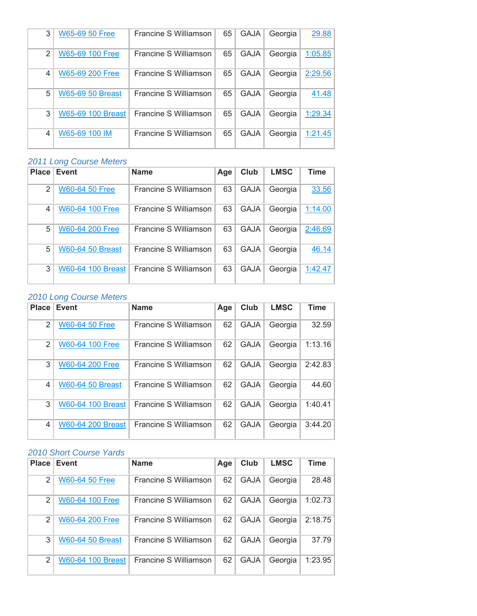| 3              | <b>W65-69 50 Free</b>   | Francine S Williamson | 65 | <b>GAJA</b> | Georgia | 29.88   |
|----------------|-------------------------|-----------------------|----|-------------|---------|---------|
| $\mathfrak{p}$ | W65-69 100 Free         | Francine S Williamson | 65 | <b>GAJA</b> | Georgia | 1:05.85 |
| 4              | W65-69 200 Free         | Francine S Williamson | 65 | <b>GAJA</b> | Georgia | 2:29.56 |
| 5              | <b>W65-69 50 Breast</b> | Francine S Williamson | 65 | <b>GAJA</b> | Georgia | 41.48   |
| 3              | W65-69 100 Breast       | Francine S Williamson | 65 | <b>GAJA</b> | Georgia | 1:29.34 |
| 4              | W65-69 100 IM           | Francine S Williamson | 65 | <b>GAJA</b> | Georgia | 1:21.45 |

| <b>Place</b> | <b>Event</b>             | <b>Name</b>           | Age | Club        | <b>LMSC</b> | Time    |
|--------------|--------------------------|-----------------------|-----|-------------|-------------|---------|
| 2            | <b>W60-64 50 Free</b>    | Francine S Williamson | 63  | <b>GAJA</b> | Georgia     | 33.56   |
| 4            | W60-64 100 Free          | Francine S Williamson | 63  | <b>GAJA</b> | Georgia     | 1:14.00 |
| 5            | W60-64 200 Free          | Francine S Williamson | 63  | <b>GAJA</b> | Georgia     | 2:46.69 |
| 5            | <b>W60-64 50 Breast</b>  | Francine S Williamson | 63  | <b>GAJA</b> | Georgia     | 46.14   |
| 3            | <b>W60-64 100 Breast</b> | Francine S Williamson | 63  | <b>GAJA</b> | Georgia     | 1:42.47 |

# *2010 Long Course Meters*

| <b>Place</b>  | Event                    | <b>Name</b>           | Age | Club        | <b>LMSC</b> | <b>Time</b> |
|---------------|--------------------------|-----------------------|-----|-------------|-------------|-------------|
| $\mathcal{P}$ | <b>W60-64 50 Free</b>    | Francine S Williamson | 62  | <b>GAJA</b> | Georgia     | 32.59       |
| 2             | W60-64 100 Free          | Francine S Williamson | 62  | <b>GAJA</b> | Georgia     | 1:13.16     |
| 3             | W60-64 200 Free          | Francine S Williamson | 62  | <b>GAJA</b> | Georgia     | 2:42.83     |
| 4             | <b>W60-64 50 Breast</b>  | Francine S Williamson | 62  | <b>GAJA</b> | Georgia     | 44.60       |
| 3             | <b>W60-64 100 Breast</b> | Francine S Williamson | 62  | <b>GAJA</b> | Georgia     | 1:40.41     |
| 4             | <b>W60-64 200 Breast</b> | Francine S Williamson | 62  | <b>GAJA</b> | Georgia     | 3:44.20     |

| Place          | Event                    | <b>Name</b>           | Age | Club        | <b>LMSC</b> | Time    |
|----------------|--------------------------|-----------------------|-----|-------------|-------------|---------|
| 2              | <b>W60-64 50 Free</b>    | Francine S Williamson | 62  | <b>GAJA</b> | Georgia     | 28.48   |
| $\overline{2}$ | W60-64 100 Free          | Francine S Williamson | 62  | <b>GAJA</b> | Georgia     | 1:02.73 |
| $\mathfrak{p}$ | <b>W60-64 200 Free</b>   | Francine S Williamson | 62  | <b>GAJA</b> | Georgia     | 2:18.75 |
| 3              | <b>W60-64 50 Breast</b>  | Francine S Williamson | 62  | <b>GAJA</b> | Georgia     | 37.79   |
| $\mathfrak{p}$ | <b>W60-64 100 Breast</b> | Francine S Williamson | 62  | <b>GAJA</b> | Georgia     | 1:23.95 |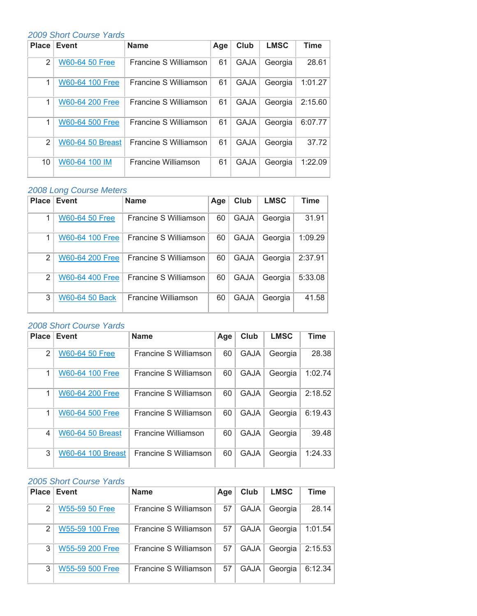## *2009 Short Course Yards*

| <b>Place</b>  | <b>Event</b>            | <b>Name</b>           | Age | Club        | <b>LMSC</b> | <b>Time</b> |
|---------------|-------------------------|-----------------------|-----|-------------|-------------|-------------|
| $\mathcal{P}$ | <b>W60-64 50 Free</b>   | Francine S Williamson | 61  | <b>GAJA</b> | Georgia     | 28.61       |
| 1             | W60-64 100 Free         | Francine S Williamson | 61  | <b>GAJA</b> | Georgia     | 1:01.27     |
| 1             | <b>W60-64 200 Free</b>  | Francine S Williamson | 61  | <b>GAJA</b> | Georgia     | 2:15.60     |
| 1             | W60-64 500 Free         | Francine S Williamson | 61  | <b>GAJA</b> | Georgia     | 6:07.77     |
| 2             | <b>W60-64 50 Breast</b> | Francine S Williamson | 61  | <b>GAJA</b> | Georgia     | 37.72       |
| 10            | W60-64 100 IM           | Francine Williamson   | 61  | <b>GAJA</b> | Georgia     | 1:22.09     |

# *2008 Long Course Meters*

| <b>Place</b>  | Event                 | <b>Name</b>           | Age | Club        | <b>LMSC</b> | Time    |
|---------------|-----------------------|-----------------------|-----|-------------|-------------|---------|
|               | <b>W60-64 50 Free</b> | Francine S Williamson | 60  | <b>GAJA</b> | Georgia     | 31.91   |
|               | W60-64 100 Free       | Francine S Williamson | 60  | <b>GAJA</b> | Georgia     | 1:09.29 |
| 2             | W60-64 200 Free       | Francine S Williamson | 60  | <b>GAJA</b> | Georgia     | 2:37.91 |
| $\mathcal{P}$ | W60-64 400 Free       | Francine S Williamson | 60  | <b>GAJA</b> | Georgia     | 5:33.08 |
| 3             | <b>W60-64 50 Back</b> | Francine Williamson   | 60  | <b>GAJA</b> | Georgia     | 41.58   |

## *2008 Short Course Yards*

| <b>Place</b> | <b>Event</b>            | <b>Name</b>                | Age | Club        | <b>LMSC</b> | <b>Time</b> |
|--------------|-------------------------|----------------------------|-----|-------------|-------------|-------------|
| 2            | <b>W60-64 50 Free</b>   | Francine S Williamson      | 60  | <b>GAJA</b> | Georgia     | 28.38       |
| 1            | W60-64 100 Free         | Francine S Williamson      | 60  | <b>GAJA</b> | Georgia     | 1:02.74     |
| 1            | <b>W60-64 200 Free</b>  | Francine S Williamson      | 60  | <b>GAJA</b> | Georgia     | 2:18.52     |
| 1            | <b>W60-64 500 Free</b>  | Francine S Williamson      | 60  | <b>GAJA</b> | Georgia     | 6:19.43     |
| 4            | <b>W60-64 50 Breast</b> | <b>Francine Williamson</b> | 60  | <b>GAJA</b> | Georgia     | 39.48       |
| 3            | W60-64 100 Breast       | Francine S Williamson      | 60  | <b>GAJA</b> | Georgia     | 1:24.33     |

| <b>Place</b> | Event                 | <b>Name</b>           | Age | Club        | <b>LMSC</b> | Time    |
|--------------|-----------------------|-----------------------|-----|-------------|-------------|---------|
| 2            | <b>W55-59 50 Free</b> | Francine S Williamson | 57  | <b>GAJA</b> | Georgia     | 28.14   |
| 2            | W55-59 100 Free       | Francine S Williamson | 57  | <b>GAJA</b> | Georgia     | 1:01.54 |
| 3            | W55-59 200 Free       | Francine S Williamson | 57  | <b>GAJA</b> | Georgia     | 2:15.53 |
| 3            | W55-59 500 Free       | Francine S Williamson | 57  | <b>GAJA</b> | Georgia     | 6:12.34 |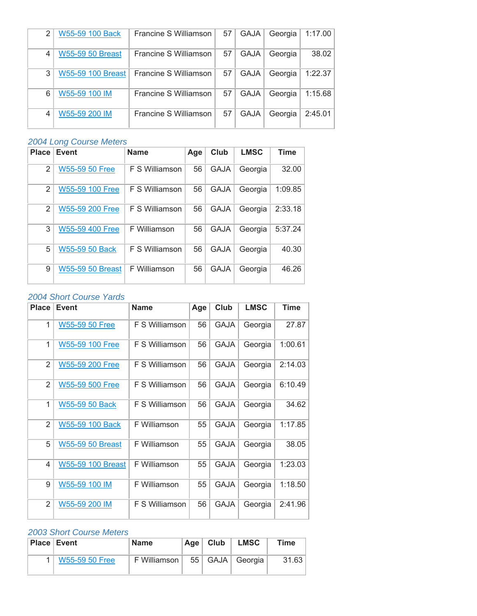| 2              | W55-59 100 Back         | Francine S Williamson | 57 | <b>GAJA</b> | Georgia | 1:17.00 |
|----------------|-------------------------|-----------------------|----|-------------|---------|---------|
| 4              | <b>W55-59 50 Breast</b> | Francine S Williamson | 57 | <b>GAJA</b> | Georgia | 38.02   |
| 3              | W55-59 100 Breast       | Francine S Williamson | 57 | <b>GAJA</b> | Georgia | 1:22.37 |
| 6              | W55-59 100 IM           | Francine S Williamson | 57 | <b>GAJA</b> | Georgia | 1:15.68 |
| $\overline{4}$ | W55-59 200 IM           | Francine S Williamson | 57 | <b>GAJA</b> | Georgia | 2:45.01 |

| <b>Place</b>   | Event                   | <b>Name</b>    | Age | Club        | <b>LMSC</b> | Time    |
|----------------|-------------------------|----------------|-----|-------------|-------------|---------|
| $\overline{2}$ | <b>W55-59 50 Free</b>   | F S Williamson | 56  | <b>GAJA</b> | Georgia     | 32.00   |
| 2              | <b>W55-59 100 Free</b>  | F S Williamson | 56  | <b>GAJA</b> | Georgia     | 1:09.85 |
| 2              | <b>W55-59 200 Free</b>  | F S Williamson | 56  | <b>GAJA</b> | Georgia     | 2:33.18 |
| 3              | <b>W55-59 400 Free</b>  | F Williamson   | 56  | <b>GAJA</b> | Georgia     | 5:37.24 |
| 5              | <b>W55-59 50 Back</b>   | F S Williamson | 56  | <b>GAJA</b> | Georgia     | 40.30   |
| 9              | <b>W55-59 50 Breast</b> | F Williamson   | 56  | <b>GAJA</b> | Georgia     | 46.26   |

# *2004 Short Course Yards*

| <b>Place</b>   | <b>Event</b>             | <b>Name</b>           | Age | Club        | <b>LMSC</b> | <b>Time</b> |
|----------------|--------------------------|-----------------------|-----|-------------|-------------|-------------|
| 1              | W55-59 50 Free           | <b>F S Williamson</b> | 56  | <b>GAJA</b> | Georgia     | 27.87       |
| 1              | W55-59 100 Free          | <b>F S Williamson</b> | 56  | <b>GAJA</b> | Georgia     | 1:00.61     |
| $\overline{2}$ | W55-59 200 Free          | <b>F S Williamson</b> | 56  | <b>GAJA</b> | Georgia     | 2:14.03     |
| $\overline{2}$ | W55-59 500 Free          | F S Williamson        | 56  | <b>GAJA</b> | Georgia     | 6:10.49     |
| 1              | W55-59 50 Back           | <b>F S Williamson</b> | 56  | <b>GAJA</b> | Georgia     | 34.62       |
| 2              | W55-59 100 Back          | F Williamson          | 55  | <b>GAJA</b> | Georgia     | 1:17.85     |
| 5              | <b>W55-59 50 Breast</b>  | F Williamson          | 55  | <b>GAJA</b> | Georgia     | 38.05       |
| 4              | <b>W55-59 100 Breast</b> | F Williamson          | 55  | <b>GAJA</b> | Georgia     | 1:23.03     |
| 9              | W55-59 100 IM            | F Williamson          | 55  | <b>GAJA</b> | Georgia     | 1:18.50     |
| $\overline{2}$ | W55-59 200 IM            | <b>F S Williamson</b> | 56  | GAJA        | Georgia     | 2:41.96     |

| <b>Place Event</b> | <b>Name</b>    | Age | Club | <b>LMSC</b>         | <b>Time</b> |
|--------------------|----------------|-----|------|---------------------|-------------|
| W55-59 50 Free     | F Williamson I |     |      | 55   GAJA   Georgia | 31.63       |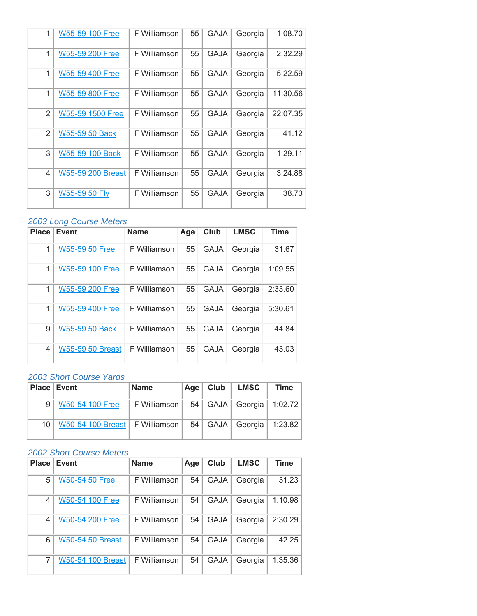| 1              | W55-59 100 Free          | F Williamson | 55 | <b>GAJA</b> | Georgia | 1:08.70  |
|----------------|--------------------------|--------------|----|-------------|---------|----------|
| 1              | W55-59 200 Free          | F Williamson | 55 | <b>GAJA</b> | Georgia | 2:32.29  |
| 1              | W55-59 400 Free          | F Williamson | 55 | <b>GAJA</b> | Georgia | 5:22.59  |
| 1              | W55-59 800 Free          | F Williamson | 55 | GAJA        | Georgia | 11:30.56 |
| 2              | W55-59 1500 Free         | F Williamson | 55 | GAJA        | Georgia | 22:07.35 |
| $\mathfrak{p}$ | W55-59 50 Back           | F Williamson | 55 | <b>GAJA</b> | Georgia | 41.12    |
| 3              | W55-59 100 Back          | F Williamson | 55 | GAJA        | Georgia | 1:29.11  |
| 4              | <b>W55-59 200 Breast</b> | F Williamson | 55 | <b>GAJA</b> | Georgia | 3:24.88  |
| 3              | W55-59 50 Fly            | F Williamson | 55 | GAJA        | Georgia | 38.73    |

| <b>Place</b> | <b>Event</b>            | <b>Name</b>  | Age | Club        | <b>LMSC</b> | <b>Time</b> |
|--------------|-------------------------|--------------|-----|-------------|-------------|-------------|
| 1            | <b>W55-59 50 Free</b>   | F Williamson | 55  | <b>GAJA</b> | Georgia     | 31.67       |
| 1            | W55-59 100 Free         | F Williamson | 55  | <b>GAJA</b> | Georgia     | 1:09.55     |
| 1            | W55-59 200 Free         | F Williamson | 55  | <b>GAJA</b> | Georgia     | 2:33.60     |
| 1            | <b>W55-59 400 Free</b>  | F Williamson | 55  | <b>GAJA</b> | Georgia     | 5:30.61     |
| 9            | <b>W55-59 50 Back</b>   | F Williamson | 55  | <b>GAJA</b> | Georgia     | 44.84       |
| 4            | <b>W55-59 50 Breast</b> | F Williamson | 55  | <b>GAJA</b> | Georgia     | 43.03       |

## *2003 Short Course Yards*

|                 | <b>Place Event</b>               | <b>Name</b>    | $Age \vert$ | Club | LMSC                     | <b>Time</b> |
|-----------------|----------------------------------|----------------|-------------|------|--------------------------|-------------|
| 9               | W50-54 100 Free                  | F Williamson ∣ | - 54        |      | GAJA   Georgia   1:02.72 |             |
| 10 <sup>1</sup> | W50-54 100 Breast   F Williamson |                | $54 \mid$   |      | GAJA   Georgia   1:23.82 |             |

| <b>Place</b>   | <b>Event</b>             | <b>Name</b>  | Age | Club        | <b>LMSC</b> | <b>Time</b> |
|----------------|--------------------------|--------------|-----|-------------|-------------|-------------|
| 5              | W50-54 50 Free           | F Williamson | 54  | <b>GAJA</b> | Georgia     | 31.23       |
| 4              | W50-54 100 Free          | F Williamson | 54  | <b>GAJA</b> | Georgia     | 1:10.98     |
| $\overline{4}$ | <b>W50-54 200 Free</b>   | F Williamson | 54  | <b>GAJA</b> | Georgia     | 2:30.29     |
| 6              | <b>W50-54 50 Breast</b>  | F Williamson | 54  | <b>GAJA</b> | Georgia     | 42.25       |
| 7              | <b>W50-54 100 Breast</b> | F Williamson | 54  | <b>GAJA</b> | Georgia     | 1:35.36     |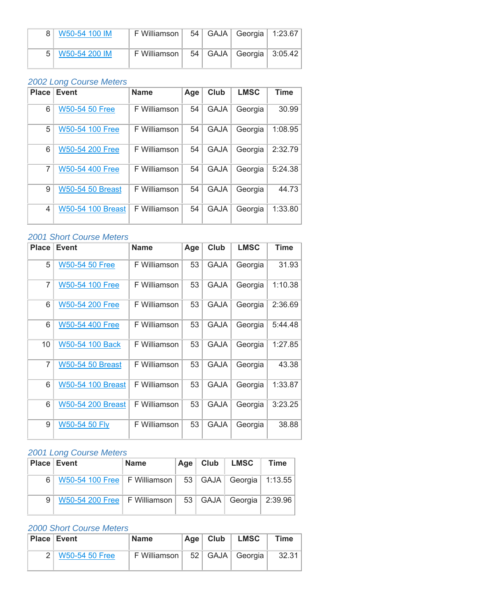| W50-54 100 IM     | F Williamson L |  | 54   GAJA   Georgia   1:23.67 |  |
|-------------------|----------------|--|-------------------------------|--|
| 5   W50-54 200 IM | F Williamson I |  | 54   GAJA   Georgia   3:05.42 |  |

| <b>Place</b> | <b>Event</b>             | <b>Name</b>  | Age | Club        | <b>LMSC</b> | <b>Time</b> |
|--------------|--------------------------|--------------|-----|-------------|-------------|-------------|
| 6            | <b>W50-54 50 Free</b>    | F Williamson | 54  | <b>GAJA</b> | Georgia     | 30.99       |
| 5            | W50-54 100 Free          | F Williamson | 54  | <b>GAJA</b> | Georgia     | 1:08.95     |
| 6            | W50-54 200 Free          | F Williamson | 54  | <b>GAJA</b> | Georgia     | 2:32.79     |
| 7            | <b>W50-54 400 Free</b>   | F Williamson | 54  | <b>GAJA</b> | Georgia     | 5:24.38     |
| 9            | <b>W50-54 50 Breast</b>  | F Williamson | 54  | <b>GAJA</b> | Georgia     | 44.73       |
| 4            | <b>W50-54 100 Breast</b> | F Williamson | 54  | <b>GAJA</b> | Georgia     | 1:33.80     |

#### *2001 Short Course Meters*

| <b>Place</b> | <b>Event</b>             | <b>Name</b>  | Age | Club        | <b>LMSC</b> | <b>Time</b> |
|--------------|--------------------------|--------------|-----|-------------|-------------|-------------|
| 5            | W50-54 50 Free           | F Williamson | 53  | <b>GAJA</b> | Georgia     | 31.93       |
| 7            | W50-54 100 Free          | F Williamson | 53  | <b>GAJA</b> | Georgia     | 1:10.38     |
| 6            | W50-54 200 Free          | F Williamson | 53  | <b>GAJA</b> | Georgia     | 2:36.69     |
| 6            | W50-54 400 Free          | F Williamson | 53  | GAJA        | Georgia     | 5:44.48     |
| 10           | W50-54 100 Back          | F Williamson | 53  | <b>GAJA</b> | Georgia     | 1:27.85     |
| 7            | <b>W50-54 50 Breast</b>  | F Williamson | 53  | <b>GAJA</b> | Georgia     | 43.38       |
| 6            | <b>W50-54 100 Breast</b> | F Williamson | 53  | <b>GAJA</b> | Georgia     | 1:33.87     |
| 6            | <b>W50-54 200 Breast</b> | F Williamson | 53  | <b>GAJA</b> | Georgia     | 3:23.25     |
| 9            | W50-54 50 Fly            | F Williamson | 53  | GAJA        | Georgia     | 38.88       |

#### *2001 Long Course Meters*

|   | <b>Place Event</b>                                             | <b>Name</b> | Age $ $ | Club   LMSC | <b>Time</b> |
|---|----------------------------------------------------------------|-------------|---------|-------------|-------------|
| 6 | W50-54 100 Free   F Williamson   53   GAJA   Georgia   1:13.55 |             |         |             |             |
| 9 | W50-54 200 Free   F Williamson   53   GAJA   Georgia   2:39.96 |             |         |             |             |

| <b>Place Event</b> | <b>Name</b>    | Age | Club | <b>LMSC</b>         | <b>Time</b> |
|--------------------|----------------|-----|------|---------------------|-------------|
| W50-54 50 Free     | F Williamson ∣ |     |      | 52   GAJA   Georgia | 32.31       |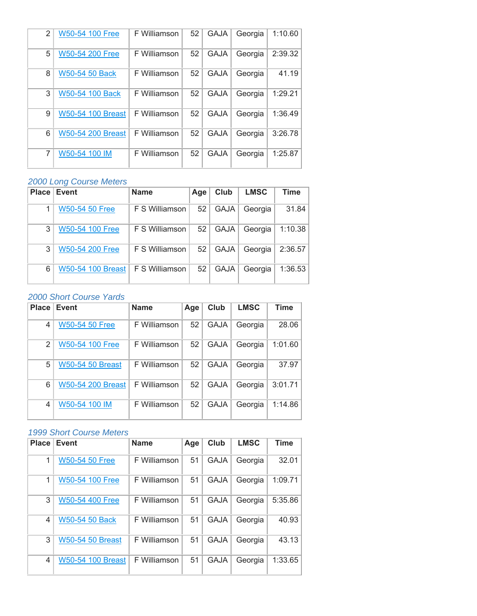| 2 | W50-54 100 Free          | F Williamson | 52 | <b>GAJA</b> | Georgia | 1:10.60 |
|---|--------------------------|--------------|----|-------------|---------|---------|
| 5 | <b>W50-54 200 Free</b>   | F Williamson | 52 | <b>GAJA</b> | Georgia | 2:39.32 |
| 8 | <b>W50-54 50 Back</b>    | F Williamson | 52 | <b>GAJA</b> | Georgia | 41.19   |
| 3 | W50-54 100 Back          | F Williamson | 52 | <b>GAJA</b> | Georgia | 1:29.21 |
| 9 | <b>W50-54 100 Breast</b> | F Williamson | 52 | <b>GAJA</b> | Georgia | 1:36.49 |
| 6 | <b>W50-54 200 Breast</b> | F Williamson | 52 | <b>GAJA</b> | Georgia | 3:26.78 |
| 7 | W50-54 100 IM            | F Williamson | 52 | <b>GAJA</b> | Georgia | 1:25.87 |

|   | <b>Place Event</b>    | <b>Name</b>           | Age | Club        | <b>LMSC</b> | Time    |
|---|-----------------------|-----------------------|-----|-------------|-------------|---------|
|   | <b>W50-54 50 Free</b> | F S Williamson        | 52  | <b>GAJA</b> | Georgia     | 31.84   |
| 3 | W50-54 100 Free       | F S Williamson        | 52  | <b>GAJA</b> | Georgia     | 1:10.38 |
| 3 | W50-54 200 Free       | <b>F S Williamson</b> | 52  | <b>GAJA</b> | Georgia     | 2:36.57 |
| 6 | W50-54 100 Breast     | F S Williamson        | 52  | <b>GAJA</b> | Georgia     | 1:36.53 |

# *2000 Short Course Yards*

| <b>Place</b>   | <b>Event</b>             | <b>Name</b>  | Age | Club        | <b>LMSC</b> | Time    |
|----------------|--------------------------|--------------|-----|-------------|-------------|---------|
| 4              | <b>W50-54 50 Free</b>    | F Williamson | 52  | <b>GAJA</b> | Georgia     | 28.06   |
| $\mathfrak{p}$ | W50-54 100 Free          | F Williamson | 52  | <b>GAJA</b> | Georgia     | 1:01.60 |
| 5              | <b>W50-54 50 Breast</b>  | F Williamson | 52  | <b>GAJA</b> | Georgia     | 37.97   |
| 6              | <b>W50-54 200 Breast</b> | F Williamson | 52  | <b>GAJA</b> | Georgia     | 3:01.71 |
| 4              | W50-54 100 IM            | F Williamson | 52  | <b>GAJA</b> | Georgia     | 1:14.86 |

| <b>Place</b> | <b>Event</b>             | <b>Name</b>  | Age | Club        | <b>LMSC</b> | <b>Time</b> |
|--------------|--------------------------|--------------|-----|-------------|-------------|-------------|
| 1            | <b>W50-54 50 Free</b>    | F Williamson | 51  | <b>GAJA</b> | Georgia     | 32.01       |
| 1            | <b>W50-54 100 Free</b>   | F Williamson | 51  | <b>GAJA</b> | Georgia     | 1:09.71     |
| 3            | <b>W50-54 400 Free</b>   | F Williamson | 51  | <b>GAJA</b> | Georgia     | 5:35.86     |
| 4            | W50-54 50 Back           | F Williamson | 51  | <b>GAJA</b> | Georgia     | 40.93       |
| 3            | <b>W50-54 50 Breast</b>  | F Williamson | 51  | <b>GAJA</b> | Georgia     | 43.13       |
| 4            | <b>W50-54 100 Breast</b> | F Williamson | 51  | <b>GAJA</b> | Georgia     | 1:33.65     |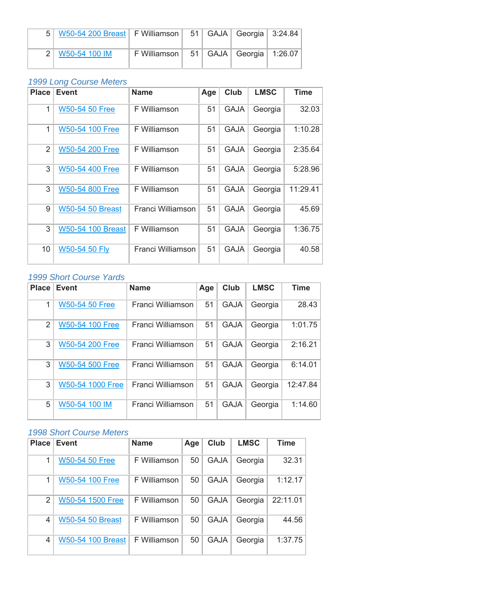| 5   W50-54 200 Breast   F Williamson   51   GAJA   Georgia   3:24.84 |                                              |  |  |
|----------------------------------------------------------------------|----------------------------------------------|--|--|
| 2   W50-54 100 IM                                                    | F Williamson   51   GAJA   Georgia   1:26.07 |  |  |

| <b>Place</b>   | <b>Event</b>             | Name              | Age | Club        | <b>LMSC</b> | Time     |
|----------------|--------------------------|-------------------|-----|-------------|-------------|----------|
| 1              | <b>W50-54 50 Free</b>    | F Williamson      | 51  | <b>GAJA</b> | Georgia     | 32.03    |
| 1              | W50-54 100 Free          | F Williamson      | 51  | <b>GAJA</b> | Georgia     | 1:10.28  |
| $\overline{2}$ | W50-54 200 Free          | F Williamson      | 51  | <b>GAJA</b> | Georgia     | 2:35.64  |
| 3              | W50-54 400 Free          | F Williamson      | 51  | <b>GAJA</b> | Georgia     | 5:28.96  |
| 3              | W50-54 800 Free          | F Williamson      | 51  | <b>GAJA</b> | Georgia     | 11:29.41 |
| 9              | <b>W50-54 50 Breast</b>  | Franci Williamson | 51  | <b>GAJA</b> | Georgia     | 45.69    |
| 3              | <b>W50-54 100 Breast</b> | F Williamson      | 51  | <b>GAJA</b> | Georgia     | 1:36.75  |
| 10             | W50-54 50 Fly            | Franci Williamson | 51  | <b>GAJA</b> | Georgia     | 40.58    |

# *1999 Short Course Yards*

| <b>Place</b> | <b>Event</b>           | <b>Name</b>       | Age | Club        | <b>LMSC</b> | <b>Time</b> |
|--------------|------------------------|-------------------|-----|-------------|-------------|-------------|
| 1            | <b>W50-54 50 Free</b>  | Franci Williamson | 51  | <b>GAJA</b> | Georgia     | 28.43       |
| 2            | W50-54 100 Free        | Franci Williamson | 51  | <b>GAJA</b> | Georgia     | 1:01.75     |
| 3            | <b>W50-54 200 Free</b> | Franci Williamson | 51  | <b>GAJA</b> | Georgia     | 2:16.21     |
| 3            | <b>W50-54 500 Free</b> | Franci Williamson | 51  | <b>GAJA</b> | Georgia     | 6:14.01     |
| 3            | W50-54 1000 Free       | Franci Williamson | 51  | <b>GAJA</b> | Georgia     | 12:47.84    |
| 5            | W50-54 100 IM          | Franci Williamson | 51  | <b>GAJA</b> | Georgia     | 1:14.60     |

| <b>Place</b>  | <b>Event</b>             | <b>Name</b>  | Age | Club        | <b>LMSC</b> | <b>Time</b> |
|---------------|--------------------------|--------------|-----|-------------|-------------|-------------|
| 1             | <b>W50-54 50 Free</b>    | F Williamson | 50  | <b>GAJA</b> | Georgia     | 32.31       |
| 1             | W50-54 100 Free          | F Williamson | 50  | <b>GAJA</b> | Georgia     | 1:12.17     |
| $\mathcal{P}$ | W50-54 1500 Free         | F Williamson | 50  | <b>GAJA</b> | Georgia     | 22:11.01    |
| 4             | <b>W50-54 50 Breast</b>  | F Williamson | 50  | <b>GAJA</b> | Georgia     | 44.56       |
| 4             | <b>W50-54 100 Breast</b> | F Williamson | 50  | <b>GAJA</b> | Georgia     | 1:37.75     |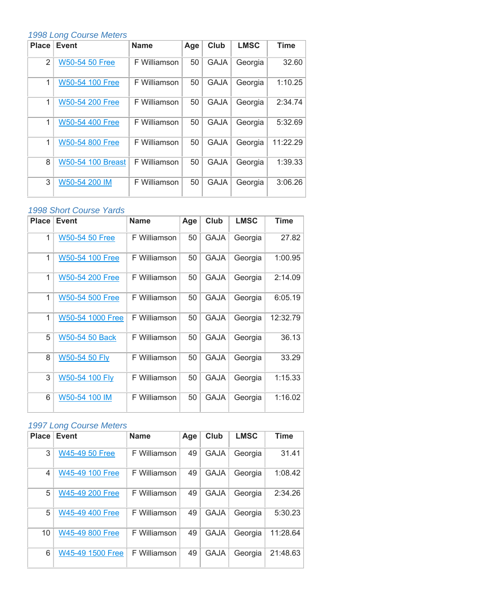| <b>Place</b> | Event                    | <b>Name</b>  | Age | Club        | <b>LMSC</b> | <b>Time</b> |
|--------------|--------------------------|--------------|-----|-------------|-------------|-------------|
| 2            | <b>W50-54 50 Free</b>    | F Williamson | 50  | <b>GAJA</b> | Georgia     | 32.60       |
| 1            | W50-54 100 Free          | F Williamson | 50  | <b>GAJA</b> | Georgia     | 1:10.25     |
| 1            | W50-54 200 Free          | F Williamson | 50  | <b>GAJA</b> | Georgia     | 2:34.74     |
| 1            | W50-54 400 Free          | F Williamson | 50  | <b>GAJA</b> | Georgia     | 5:32.69     |
| 1            | W50-54 800 Free          | F Williamson | 50  | <b>GAJA</b> | Georgia     | 11:22.29    |
| 8            | <b>W50-54 100 Breast</b> | F Williamson | 50  | <b>GAJA</b> | Georgia     | 1:39.33     |
| 3            | W50-54 200 IM            | F Williamson | 50  | <b>GAJA</b> | Georgia     | 3:06.26     |

# *1998 Short Course Yards*

| <b>Place</b> | <b>Event</b>           | <b>Name</b>  | Age | Club        | <b>LMSC</b> | <b>Time</b> |
|--------------|------------------------|--------------|-----|-------------|-------------|-------------|
| 1            | <b>W50-54 50 Free</b>  | F Williamson | 50  | <b>GAJA</b> | Georgia     | 27.82       |
| $\mathbf{1}$ | W50-54 100 Free        | F Williamson | 50  | <b>GAJA</b> | Georgia     | 1:00.95     |
| 1            | W50-54 200 Free        | F Williamson | 50  | <b>GAJA</b> | Georgia     | 2:14.09     |
| 1            | <b>W50-54 500 Free</b> | F Williamson | 50  | <b>GAJA</b> | Georgia     | 6:05.19     |
| 1            | W50-54 1000 Free       | F Williamson | 50  | <b>GAJA</b> | Georgia     | 12:32.79    |
| 5            | W50-54 50 Back         | F Williamson | 50  | <b>GAJA</b> | Georgia     | 36.13       |
| 8            | W50-54 50 Fly          | F Williamson | 50  | <b>GAJA</b> | Georgia     | 33.29       |
| 3            | W50-54 100 Fly         | F Williamson | 50  | <b>GAJA</b> | Georgia     | 1:15.33     |
| 6            | W50-54 100 IM          | F Williamson | 50  | <b>GAJA</b> | Georgia     | 1:16.02     |

# *1997 Long Course Meters*

| <b>Place</b> | <b>Event</b>     | <b>Name</b>  | Age | Club        | <b>LMSC</b> | <b>Time</b> |
|--------------|------------------|--------------|-----|-------------|-------------|-------------|
| 3            | W45-49 50 Free   | F Williamson | 49  | <b>GAJA</b> | Georgia     | 31.41       |
| 4            | W45-49 100 Free  | F Williamson | 49  | <b>GAJA</b> | Georgia     | 1:08.42     |
| 5            | W45-49 200 Free  | F Williamson | 49  | <b>GAJA</b> | Georgia     | 2:34.26     |
| 5            | W45-49 400 Free  | F Williamson | 49  | <b>GAJA</b> | Georgia     | 5:30.23     |
| 10           | W45-49 800 Free  | F Williamson | 49  | <b>GAJA</b> | Georgia     | 11:28.64    |
| 6            | W45-49 1500 Free | F Williamson | 49  | <b>GAJA</b> | Georgia     | 21:48.63    |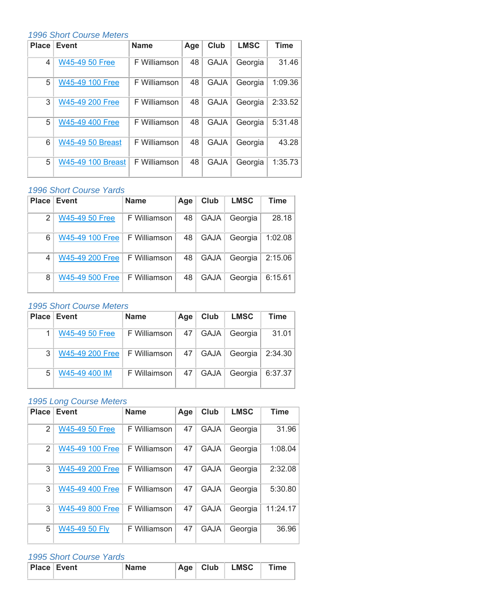## *1996 Short Course Meters*

| <b>Place</b> | <b>Event</b>             | <b>Name</b>  | Age | Club        | <b>LMSC</b> | <b>Time</b> |
|--------------|--------------------------|--------------|-----|-------------|-------------|-------------|
| 4            | W45-49 50 Free           | F Williamson | 48  | <b>GAJA</b> | Georgia     | 31.46       |
| 5            | W45-49 100 Free          | F Williamson | 48  | <b>GAJA</b> | Georgia     | 1:09.36     |
| 3            | W45-49 200 Free          | F Williamson | 48  | <b>GAJA</b> | Georgia     | 2:33.52     |
| 5            | W45-49 400 Free          | F Williamson | 48  | <b>GAJA</b> | Georgia     | 5:31.48     |
| 6            | <b>W45-49 50 Breast</b>  | F Williamson | 48  | <b>GAJA</b> | Georgia     | 43.28       |
| 5            | <b>W45-49 100 Breast</b> | F Williamson | 48  | <b>GAJA</b> | Georgia     | 1:35.73     |

## *1996 Short Course Yards*

| <b>Place</b> | Event                 | <b>Name</b>  | Age | Club        | <b>LMSC</b> | <b>Time</b> |
|--------------|-----------------------|--------------|-----|-------------|-------------|-------------|
| 2            | <b>W45-49 50 Free</b> | F Williamson | 48  | <b>GAJA</b> | Georgia     | 28.18       |
| 6            | W45-49 100 Free       | F Williamson | 48  | <b>GAJA</b> | Georgia     | 1:02.08     |
| 4            | W45-49 200 Free       | F Williamson | 48  | <b>GAJA</b> | Georgia     | 2:15.06     |
| 8            | W45-49 500 Free       | F Williamson | 48  | <b>GAJA</b> | Georgia     | 6:15.61     |

# *1995 Short Course Meters*

| Place <sup>®</sup> | Event                                        | <b>Name</b>  | Age | Club | <b>LMSC</b> | Time    |
|--------------------|----------------------------------------------|--------------|-----|------|-------------|---------|
|                    | W45-49 50 Free                               | F Williamson | 47  | GAJA | Georgia     | 31.01   |
| 3                  | W45-49 200 Free $\vert$ F Williamson $\vert$ |              | 47  | GAJA | Georgia     | 2:34.30 |
| 5                  | W45-49 400 IM                                | F Willaimson | 47  | GAJA | Georgia     | 6:37.37 |

#### *1995 Long Course Meters*

| <b>Place</b> | <b>Event</b>          | <b>Name</b>  | Age | Club        | <b>LMSC</b> | <b>Time</b> |
|--------------|-----------------------|--------------|-----|-------------|-------------|-------------|
| 2            | <b>W45-49 50 Free</b> | F Williamson | 47  | <b>GAJA</b> | Georgia     | 31.96       |
| 2            | W45-49 100 Free       | F Williamson | 47  | <b>GAJA</b> | Georgia     | 1:08.04     |
| 3            | W45-49 200 Free       | F Williamson | 47  | <b>GAJA</b> | Georgia     | 2:32.08     |
| 3            | W45-49 400 Free       | F Williamson | 47  | <b>GAJA</b> | Georgia     | 5:30.80     |
| 3            | W45-49 800 Free       | F Williamson | 47  | <b>GAJA</b> | Georgia     | 11:24.17    |
| 5            | W45-49 50 Fly         | F Williamson | 47  | <b>GAJA</b> | Georgia     | 36.96       |

| <b>Place Event</b> | <b>Name</b> | ⊹Age ⊧ | Club | <b>LMSC</b> | ™e |
|--------------------|-------------|--------|------|-------------|----|
|                    |             |        |      |             |    |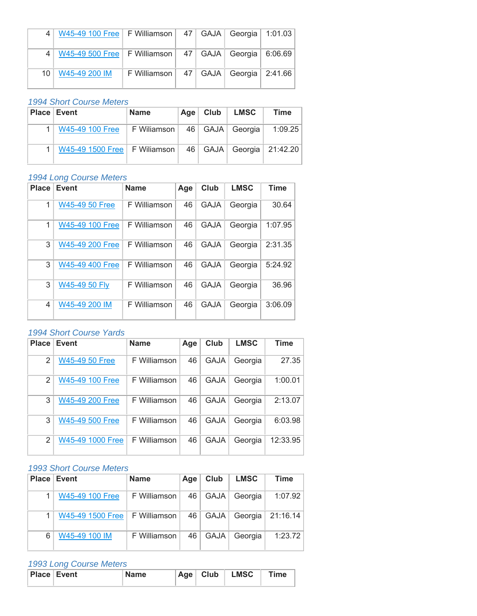|    | W45-49 100 Free   F Williamson   47   GAJA   Georgia   1:01.03 |                                              |  |  |
|----|----------------------------------------------------------------|----------------------------------------------|--|--|
|    | W45-49 500 Free   F Williamson   47   GAJA   Georgia   6:06.69 |                                              |  |  |
| 10 | W45-49 200 IM                                                  | F Williamson   47   GAJA   Georgia   2:41.66 |  |  |

# *1994 Short Course Meters*

| <b>Place Event</b>               | <b>Name</b> | $Age \parallel$ | Club | LMSC                      | <b>Time</b> |
|----------------------------------|-------------|-----------------|------|---------------------------|-------------|
| W45-49 100 Free                  | F Wiliamson |                 |      | 46   GAJA   Georgia       | 1:09.25     |
| $W45-49$ 1500 Free   F Wiliamson |             | 46              |      | GAJA   Georgia   21:42.20 |             |

# *1994 Long Course Meters*

| <b>Place</b> | <b>Event</b>          | <b>Name</b>  | Age | Club        | <b>LMSC</b> | <b>Time</b> |
|--------------|-----------------------|--------------|-----|-------------|-------------|-------------|
| 1            | <b>W45-49 50 Free</b> | F Williamson | 46  | <b>GAJA</b> | Georgia     | 30.64       |
| 1            | W45-49 100 Free       | F Williamson | 46  | <b>GAJA</b> | Georgia     | 1:07.95     |
| 3            | W45-49 200 Free       | F Williamson | 46  | <b>GAJA</b> | Georgia     | 2:31.35     |
| 3            | W45-49 400 Free       | F Williamson | 46  | <b>GAJA</b> | Georgia     | 5:24.92     |
| 3            | W45-49 50 Fly         | F Williamson | 46  | <b>GAJA</b> | Georgia     | 36.96       |
| 4            | W45-49 200 IM         | F Williamson | 46  | <b>GAJA</b> | Georgia     | 3:06.09     |

#### *1994 Short Course Yards*

| <b>Place</b>  | Event            | <b>Name</b>  | Age | Club        | <b>LMSC</b> | <b>Time</b> |
|---------------|------------------|--------------|-----|-------------|-------------|-------------|
| $\mathcal{P}$ | W45-49 50 Free   | F Williamson | 46  | <b>GAJA</b> | Georgia     | 27.35       |
| $\mathcal{P}$ | W45-49 100 Free  | F Williamson | 46  | <b>GAJA</b> | Georgia     | 1:00.01     |
| 3             | W45-49 200 Free  | F Williamson | 46  | <b>GAJA</b> | Georgia     | 2:13.07     |
| 3             | W45-49 500 Free  | F Williamson | 46  | <b>GAJA</b> | Georgia     | 6:03.98     |
| 2             | W45-49 1000 Free | F Williamson | 46  | <b>GAJA</b> | Georgia     | 12:33.95    |

# *1993 Short Course Meters*

|   | <b>Place Event</b> | <b>Name</b>  | Age | Club        | <b>LMSC</b> | <b>Time</b> |
|---|--------------------|--------------|-----|-------------|-------------|-------------|
|   | W45-49 100 Free    | F Williamson | 46  | GAJA        | Georgia     | 1:07.92     |
|   | W45-49 1500 Free   | F Williamson | 46  | GAJA        | Georgia     | 21:16.14    |
| 6 | W45-49 100 IM      | F Williamson | 46  | <b>GAJA</b> | Georgia     | 1:23.72     |

#### *1993 Long Course Meters*

| <b>Place Event</b> | <b>Name</b> | ∣ Age ' | Club | <b>LMSC</b> | $\mathsf{Time}$ |
|--------------------|-------------|---------|------|-------------|-----------------|
|                    |             |         |      |             |                 |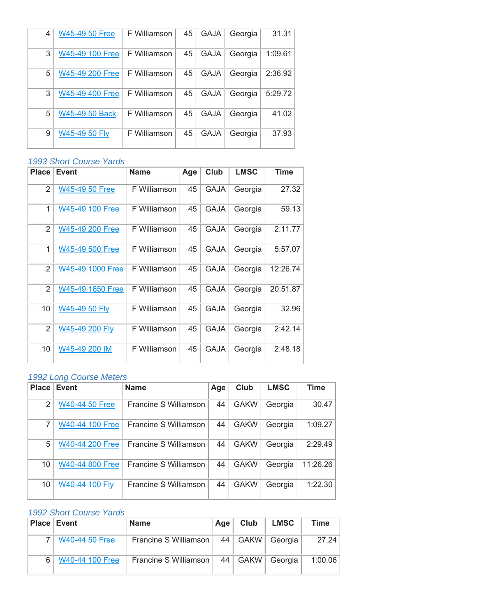| 4 | W45-49 50 Free  | F Williamson | 45 | <b>GAJA</b> | Georgia | 31.31   |
|---|-----------------|--------------|----|-------------|---------|---------|
| 3 | W45-49 100 Free | F Williamson | 45 | <b>GAJA</b> | Georgia | 1:09.61 |
| 5 | W45-49 200 Free | F Williamson | 45 | <b>GAJA</b> | Georgia | 2:36.92 |
| 3 | W45-49 400 Free | F Williamson | 45 | <b>GAJA</b> | Georgia | 5:29.72 |
| 5 | W45-49 50 Back  | F Williamson | 45 | <b>GAJA</b> | Georgia | 41.02   |
| 9 | W45-49 50 Fly   | F Williamson | 45 | <b>GAJA</b> | Georgia | 37.93   |

# *1993 Short Course Yards*

| <b>Place</b>   | Event                 | <b>Name</b>  | Age | Club        | <b>LMSC</b> | <b>Time</b> |
|----------------|-----------------------|--------------|-----|-------------|-------------|-------------|
| $\overline{2}$ | <b>W45-49 50 Free</b> | F Williamson | 45  | <b>GAJA</b> | Georgia     | 27.32       |
| 1              | W45-49 100 Free       | F Williamson | 45  | <b>GAJA</b> | Georgia     | 59.13       |
| $\overline{2}$ | W45-49 200 Free       | F Williamson | 45  | <b>GAJA</b> | Georgia     | 2:11.77     |
| 1              | W45-49 500 Free       | F Williamson | 45  | <b>GAJA</b> | Georgia     | 5:57.07     |
| $\overline{2}$ | W45-49 1000 Free      | F Williamson | 45  | <b>GAJA</b> | Georgia     | 12:26.74    |
| $\mathfrak{p}$ | W45-49 1650 Free      | F Williamson | 45  | <b>GAJA</b> | Georgia     | 20:51.87    |
| 10             | W45-49 50 Fly         | F Williamson | 45  | <b>GAJA</b> | Georgia     | 32.96       |
| $\overline{2}$ | W45-49 200 Fly        | F Williamson | 45  | <b>GAJA</b> | Georgia     | 2:42.14     |
| 10             | W45-49 200 IM         | F Williamson | 45  | <b>GAJA</b> | Georgia     | 2:48.18     |

# *1992 Long Course Meters*

| Place          | <b>Event</b>          | <b>Name</b>           | Age | Club        | <b>LMSC</b> | <b>Time</b> |
|----------------|-----------------------|-----------------------|-----|-------------|-------------|-------------|
| $\mathfrak{p}$ | <b>W40-44 50 Free</b> | Francine S Williamson | 44  | <b>GAKW</b> | Georgia     | 30.47       |
| 7              | W40-44 100 Free       | Francine S Williamson | 44  | <b>GAKW</b> | Georgia     | 1:09.27     |
| 5              | W40-44 200 Free       | Francine S Williamson | 44  | <b>GAKW</b> | Georgia     | 2:29.49     |
| 10             | W40-44 800 Free       | Francine S Williamson | 44  | <b>GAKW</b> | Georgia     | 11:26.26    |
| 10             | W40-44 100 Fly        | Francine S Williamson | 44  | <b>GAKW</b> | Georgia     | 1:22.30     |

| <b>Place Event</b> |                 | <b>Name</b>           | Age | Club      | <b>LMSC</b> | Time    |
|--------------------|-----------------|-----------------------|-----|-----------|-------------|---------|
|                    | W40-44 50 Free  | Francine S Williamson |     | 44   GAKW | Georgia     | 27.24   |
|                    | W40-44 100 Free | Francine S Williamson |     | $44$ GAKW | Georgia     | 1:00.06 |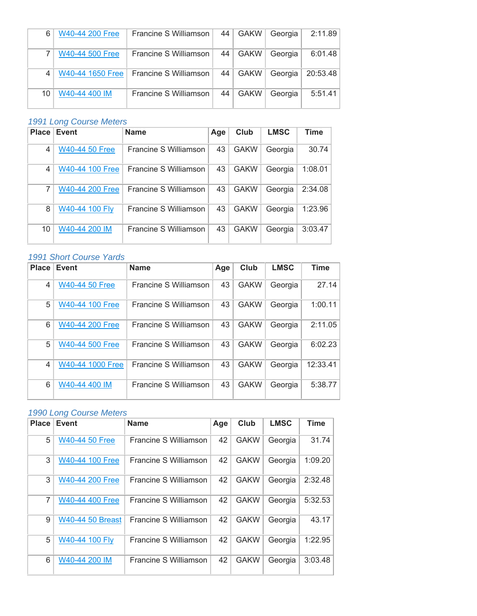| 6  | W40-44 200 Free  | Francine S Williamson |    | 44   GAKW | Georgia | 2:11.89  |
|----|------------------|-----------------------|----|-----------|---------|----------|
|    | W40-44 500 Free  | Francine S Williamson |    | $44$ GAKW | Georgia | 6:01.48  |
|    | W40-44 1650 Free | Francine S Williamson |    | 44   GAKW | Georgia | 20:53.48 |
| 10 | W40-44 400 IM    | Francine S Williamson | 44 | GAKW      | Georgia | 5:51.41  |

| Place | Event                 | <b>Name</b>           | Age | Club        | <b>LMSC</b> | <b>Time</b> |
|-------|-----------------------|-----------------------|-----|-------------|-------------|-------------|
| 4     | <b>W40-44 50 Free</b> | Francine S Williamson | 43  | <b>GAKW</b> | Georgia     | 30.74       |
| 4     | W40-44 100 Free       | Francine S Williamson | 43  | <b>GAKW</b> | Georgia     | 1:08.01     |
| 7     | W40-44 200 Free       | Francine S Williamson | 43  | <b>GAKW</b> | Georgia     | 2:34.08     |
| 8     | W40-44 100 Fly        | Francine S Williamson | 43  | <b>GAKW</b> | Georgia     | 1:23.96     |
| 10    | W40-44 200 IM         | Francine S Williamson | 43  | <b>GAKW</b> | Georgia     | 3:03.47     |

# *1991 Short Course Yards*

| <b>Place</b>   | <b>Event</b>           | <b>Name</b>           | Age | Club        | <b>LMSC</b> | <b>Time</b> |
|----------------|------------------------|-----------------------|-----|-------------|-------------|-------------|
| $\overline{4}$ | <b>W40-44 50 Free</b>  | Francine S Williamson | 43  | <b>GAKW</b> | Georgia     | 27.14       |
| 5              | W40-44 100 Free        | Francine S Williamson | 43  | <b>GAKW</b> | Georgia     | 1:00.11     |
| 6              | <b>W40-44 200 Free</b> | Francine S Williamson | 43  | <b>GAKW</b> | Georgia     | 2:11.05     |
| 5              | W40-44 500 Free        | Francine S Williamson | 43  | <b>GAKW</b> | Georgia     | 6:02.23     |
| $\overline{4}$ | W40-44 1000 Free       | Francine S Williamson | 43  | <b>GAKW</b> | Georgia     | 12:33.41    |
| 6              | W40-44 400 IM          | Francine S Williamson | 43  | <b>GAKW</b> | Georgia     | 5:38.77     |

# *1990 Long Course Meters*

| <b>Place</b>   | <b>Event</b>            | <b>Name</b>           | Age | Club        | <b>LMSC</b> | <b>Time</b> |
|----------------|-------------------------|-----------------------|-----|-------------|-------------|-------------|
| 5              | <b>W40-44 50 Free</b>   | Francine S Williamson | 42  | <b>GAKW</b> | Georgia     | 31.74       |
| 3              | W40-44 100 Free         | Francine S Williamson | 42  | <b>GAKW</b> | Georgia     | 1:09.20     |
| 3              | W40-44 200 Free         | Francine S Williamson | 42  | <b>GAKW</b> | Georgia     | 2:32.48     |
| $\overline{7}$ | <b>W40-44 400 Free</b>  | Francine S Williamson | 42  | <b>GAKW</b> | Georgia     | 5:32.53     |
| 9              | <b>W40-44 50 Breast</b> | Francine S Williamson | 42  | <b>GAKW</b> | Georgia     | 43.17       |
| 5              | W40-44 100 Fly          | Francine S Williamson | 42  | <b>GAKW</b> | Georgia     | 1:22.95     |
| 6              | W40-44 200 IM           | Francine S Williamson | 42  | <b>GAKW</b> | Georgia     | 3:03.48     |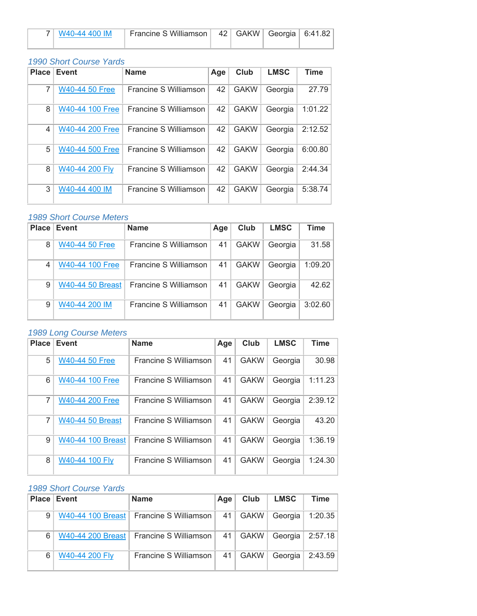| 7   W40-44 400 IM | Francine S Williamson   42   GAKW   Georgia   6:41.82 |  |  |
|-------------------|-------------------------------------------------------|--|--|
|                   |                                                       |  |  |

# *1990 Short Course Yards*

| <b>Place</b> | Event                 | <b>Name</b>           | Age | Club        | <b>LMSC</b> | <b>Time</b> |
|--------------|-----------------------|-----------------------|-----|-------------|-------------|-------------|
| 7            | <b>W40-44 50 Free</b> | Francine S Williamson | 42  | <b>GAKW</b> | Georgia     | 27.79       |
| 8            | W40-44 100 Free       | Francine S Williamson | 42  | <b>GAKW</b> | Georgia     | 1:01.22     |
| 4            | W40-44 200 Free       | Francine S Williamson | 42  | <b>GAKW</b> | Georgia     | 2:12.52     |
| 5            | W40-44 500 Free       | Francine S Williamson | 42  | <b>GAKW</b> | Georgia     | 6:00.80     |
| 8            | W40-44 200 Fly        | Francine S Williamson | 42  | <b>GAKW</b> | Georgia     | 2:44.34     |
| 3            | W40-44 400 IM         | Francine S Williamson | 42  | <b>GAKW</b> | Georgia     | 5:38.74     |

#### *1989 Short Course Meters*

| Place | Event                 | <b>Name</b>           | Age | Club        | <b>LMSC</b> | <b>Time</b> |
|-------|-----------------------|-----------------------|-----|-------------|-------------|-------------|
| 8     | <b>W40-44 50 Free</b> | Francine S Williamson | 41  | <b>GAKW</b> | Georgia     | 31.58       |
| 4     | W40-44 100 Free       | Francine S Williamson | 41  | <b>GAKW</b> | Georgia     | 1:09.20     |
| 9     | W40-44 50 Breast      | Francine S Williamson | 41  | <b>GAKW</b> | Georgia     | 42.62       |
| 9     | W40-44 200 IM         | Francine S Williamson | 41  | <b>GAKW</b> | Georgia     | 3:02.60     |

## *1989 Long Course Meters*

| <b>Place</b> | <b>Event</b>             | <b>Name</b>           | Age | Club        | <b>LMSC</b> | <b>Time</b> |
|--------------|--------------------------|-----------------------|-----|-------------|-------------|-------------|
| 5            | <b>W40-44 50 Free</b>    | Francine S Williamson | 41  | <b>GAKW</b> | Georgia     | 30.98       |
| 6            | W40-44 100 Free          | Francine S Williamson | 41  | <b>GAKW</b> | Georgia     | 1:11.23     |
| 7            | W40-44 200 Free          | Francine S Williamson | 41  | <b>GAKW</b> | Georgia     | 2:39.12     |
| 7            | <b>W40-44 50 Breast</b>  | Francine S Williamson | 41  | <b>GAKW</b> | Georgia     | 43.20       |
| 9            | <b>W40-44 100 Breast</b> | Francine S Williamson | 41  | <b>GAKW</b> | Georgia     | 1:36.19     |
| 8            | W40-44 100 Fly           | Francine S Williamson | 41  | <b>GAKW</b> | Georgia     | 1:24.30     |

| Place | Event          | <b>Name</b>                               | Age | Club        | <b>LMSC</b> | <b>Time</b>       |
|-------|----------------|-------------------------------------------|-----|-------------|-------------|-------------------|
| 9     |                | W40-44 100 Breast   Francine S Williamson | 41  | <b>GAKW</b> |             | Georgia   1:20.35 |
| 6     |                | W40-44 200 Breast   Francine S Williamson | 41  | <b>GAKW</b> |             | Georgia   2:57.18 |
| 6     | W40-44 200 Fly | Francine S Williamson                     | 41  | <b>GAKW</b> | Georgia     | 2:43.59           |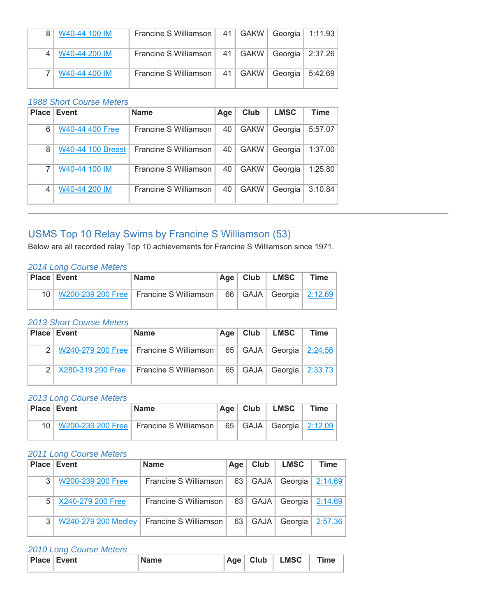| W40-44 100 IM | Francine S Williamson   41 |            | GAKW | Georgia   1:11.93   |         |
|---------------|----------------------------|------------|------|---------------------|---------|
| W40-44 200 IM | Francine S Williamson      | 41         | GAKW | Georgia   $2:37.26$ |         |
| W40-44 400 IM | Francine S Williamson      | $41 \vert$ | GAKW | Georgia             | 5:42.69 |

#### *1988 Short Course Meters*

| Place | <b>Event</b>             | <b>Name</b>           | Age | Club        | <b>LMSC</b> | Time    |
|-------|--------------------------|-----------------------|-----|-------------|-------------|---------|
| 6     | W40-44 400 Free          | Francine S Williamson | 40  | <b>GAKW</b> | Georgia     | 5:57.07 |
| 8     | <b>W40-44 100 Breast</b> | Francine S Williamson | 40  | <b>GAKW</b> | Georgia     | 1:37.00 |
| 7     | W40-44 100 IM            | Francine S Williamson | 40  | <b>GAKW</b> | Georgia     | 1:25.80 |
| 4     | W40-44 200 IM            | Francine S Williamson | 40  | <b>GAKW</b> | Georgia     | 3:10.84 |

# USMS Top 10 Relay Swims by Francine S Williamson (53)

Below are all recorded relay Top 10 achievements for Francine S Williamson since 1971.

#### *2014 Long Course Meters*

| <b>Place Event</b> | <b>Name</b>                                    | $Aqe$ Club | <b>LMSC</b>                   | <b>Time</b> |
|--------------------|------------------------------------------------|------------|-------------------------------|-------------|
|                    | 10   W200-239 200 Free   Francine S Williamson |            | 66   GAJA   Georgia   2:12.69 |             |

#### *2013 Short Course Meters*

| <b>Place Event</b> | <b>Name</b>                               | Age | Club      | <b>LMSC</b>                   | Time |
|--------------------|-------------------------------------------|-----|-----------|-------------------------------|------|
|                    | W240-279 200 Free   Francine S Williamson |     |           | 65   GAJA   Georgia   2:24.56 |      |
| X280-319 200 Free  | Francine S Williamson I                   |     | 65   GAJA | Georgia $ 2:33.73 $           |      |

#### *2013 Long Course Meters*

|                 | <b>Place Event</b> | <b>Name</b>                               | Age $ $ | Club | <b>LMSC</b>                     | <b>Time</b> |
|-----------------|--------------------|-------------------------------------------|---------|------|---------------------------------|-------------|
| 10 <sup>1</sup> |                    | W200-239 200 Free   Francine S Williamson |         |      | 65   GAJA   Georgia   $2:12.09$ |             |

#### *2011 Long Course Meters*

|   | <b>Place Event</b>  | <b>Name</b>           | Age | Club        | <b>LMSC</b> | Time                |
|---|---------------------|-----------------------|-----|-------------|-------------|---------------------|
| 3 | W200-239 200 Free   | Francine S Williamson | 63  | <b>GAJA</b> |             | Georgia $ 2:14.69 $ |
| 5 | X240-279 200 Free   | Francine S Williamson | 63  | GAJA        | Georgia     | 2:14.69             |
| 3 | W240-279 200 Medley | Francine S Williamson | 63  | <b>GAJA</b> | Georgia     | 2:57.36             |

# *2010 Long Course Meters*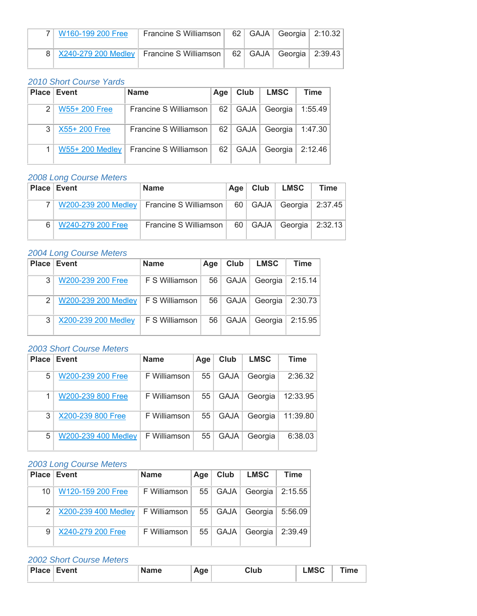| 7   W160-199 200 Free | Francine S Williamson                                                         |  | 62   GAJA   Georgia   2:10.32 |  |
|-----------------------|-------------------------------------------------------------------------------|--|-------------------------------|--|
|                       | 8 X240-279 200 Medley   Francine S Williamson   62   GAJA   Georgia   2:39.43 |  |                               |  |

#### *2010 Short Course Yards*

|   | <b>Place Event</b>     | <b>Name</b>           | Age | Club        | <b>LMSC</b> | Time    |
|---|------------------------|-----------------------|-----|-------------|-------------|---------|
| 2 | W55+ 200 Free          | Francine S Williamson | 62  | <b>GAJA</b> | Georgia     | 1:55.49 |
| 3 | X55+200 Free           | Francine S Williamson | 62  | <b>GAJA</b> | Georgia     | 1:47.30 |
|   | <b>W55+ 200 Medley</b> | Francine S Williamson | 62  | <b>GAJA</b> | Georgia     | 2:12.46 |

#### *2008 Long Course Meters*

| <b>Place Event</b> | <b>Name</b>                                                                 | Age | Club | LMSC                          | Time |
|--------------------|-----------------------------------------------------------------------------|-----|------|-------------------------------|------|
|                    | W200-239 200 Medley   Francine S Williamson   60   GAJA   Georgia   2:37.45 |     |      |                               |      |
| W240-279 200 Free  | Francine S Williamson                                                       |     |      | 60   GAJA   Georgia   2:32.13 |      |

#### *2004 Long Course Meters*

|               | <b>Place Event</b>                        | <b>Name</b>    | Age | Club        | <b>LMSC</b> | Time    |
|---------------|-------------------------------------------|----------------|-----|-------------|-------------|---------|
| 3             | W200-239 200 Free                         | F S Williamson | 56  | <b>GAJA</b> | Georgia     | 2:15.14 |
| $\mathcal{P}$ | W200-239 200 Medley $\mid$ F S Williamson |                | 56  | <b>GAJA</b> | Georgia     | 2:30.73 |
| 3             | X200-239 200 Medley                       | F S Williamson | 56  | <b>GAJA</b> | Georgia     | 2:15.95 |

## *2003 Short Course Meters*

| <b>Place</b> | Event               | <b>Name</b>  | Age | Club        | <b>LMSC</b> | <b>Time</b> |
|--------------|---------------------|--------------|-----|-------------|-------------|-------------|
| 5            | W200-239 200 Free   | F Williamson | 55  | <b>GAJA</b> | Georgia     | 2:36.32     |
|              | W200-239 800 Free   | F Williamson | 55  | <b>GAJA</b> | Georgia     | 12:33.95    |
| 3            | X200-239 800 Free   | F Williamson | 55  | <b>GAJA</b> | Georgia     | 11:39.80    |
| 5            | W200-239 400 Medley | F Williamson | 55  | <b>GAJA</b> | Georgia     | 6:38.03     |

# *2003 Long Course Meters*

|               | <b>Place Event</b>  | <b>Name</b>  | Age | Club        | <b>LMSC</b> | Time    |
|---------------|---------------------|--------------|-----|-------------|-------------|---------|
| 10            | W120-159 200 Free   | F Williamson | 55  | <b>GAJA</b> | Georgia     | 2:15.55 |
| $\mathcal{P}$ | X200-239 400 Medley | F Williamson | 55  | GAJA        | Georgia     | 5:56.09 |
| 9             | X240-279 200 Free   | F Williamson | 55  | <b>GAJA</b> | Georgia     | 2:39.49 |

| Place<br>⊺Event | <b>Name</b> | Age | Club | <b>_MSC</b> | Time |
|-----------------|-------------|-----|------|-------------|------|
|                 |             |     |      |             |      |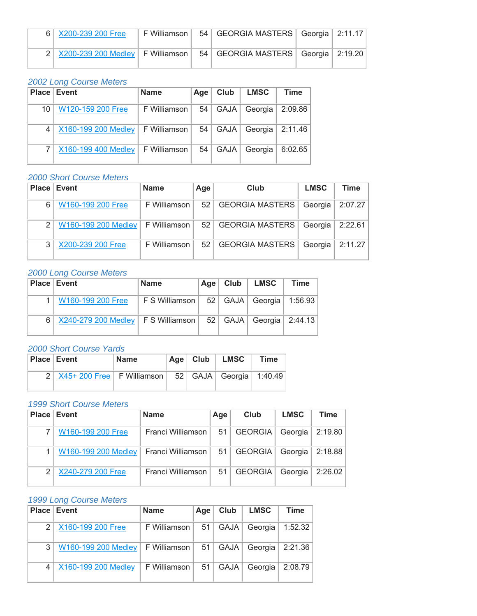| 6 X200-239 200 Free                                                             | ∣ F Williamson I | 54   GEORGIA MASTERS   Georgia   2:11.17 |  |
|---------------------------------------------------------------------------------|------------------|------------------------------------------|--|
| 2 X200-239 200 Medley   F Williamson   54   GEORGIA MASTERS   Georgia   2:19.20 |                  |                                          |  |

|                | <b>Place Event</b>    | <b>Name</b>  | Age | Club        | <b>LMSC</b>    | Time    |
|----------------|-----------------------|--------------|-----|-------------|----------------|---------|
| 10             | W120-159 200 Free     | F Williamson | 54  | GAJA        | Georgia ∣      | 2:09.86 |
| $\overline{4}$ | X160-199 200 Medley   | F Williamson | 54  |             | GAJA   Georgia | 2:11.46 |
|                | $X160-199$ 400 Medley | F Williamson | 54  | <b>GAJA</b> | Georgia        | 6:02.65 |

# *2000 Short Course Meters*

|                | <b>Place Event</b>                 | <b>Name</b>    | Age | Club                 | <b>LMSC</b> | <b>Time</b>       |
|----------------|------------------------------------|----------------|-----|----------------------|-------------|-------------------|
| 6              | W160-199 200 Free                  | F Williamson I |     | 52   GEORGIA MASTERS | Georgia     | 2:07.27           |
| 2 <sup>1</sup> | W160-199 200 Medley   F Williamson |                |     | 52   GEORGIA MASTERS | Georgia     | 2:22.61           |
| 3              | X200-239 200 Free                  | F Williamson   |     | 52   GEORGIA MASTERS |             | Georgia   2:11.27 |

#### *2000 Long Course Meters*

|                | <b>Place Event</b>                                                                                   | <b>Name</b><br>Age                            |  | $Club$   LMSC | Time |
|----------------|------------------------------------------------------------------------------------------------------|-----------------------------------------------|--|---------------|------|
|                | W160-199 200 Free                                                                                    | FS Williamson   52   GAJA   Georgia   1:56.93 |  |               |      |
| 6 <sup>1</sup> | $\mid$ X240-279 200 Medley $\mid$ F S Williamson $\mid$ 52 $\mid$ GAJA $\mid$ Georgia $\mid$ 2:44.13 |                                               |  |               |      |

#### *2000 Short Course Yards*

| <b>Place Event</b>                                                | <b>Name</b> | Age $ $ | Club | <b>LMSC</b> | <b>Time</b> |
|-------------------------------------------------------------------|-------------|---------|------|-------------|-------------|
| $2$ $X45+200$ Free   F Williamson   52   GAJA   Georgia   1:40.49 |             |         |      |             |             |

#### *1999 Short Course Meters*

| Place         | Event               | <b>Name</b>       | Age        | Club           | <b>LMSC</b> | Time    |
|---------------|---------------------|-------------------|------------|----------------|-------------|---------|
|               | W160-199 200 Free   | Franci Williamson | $51 \vert$ | <b>GEORGIA</b> | Georgia     | 2:19.80 |
|               | W160-199 200 Medley | Franci Williamson | $51 \mid$  | <b>GEORGIA</b> | Georgia     | 2:18.88 |
| $\mathcal{P}$ | X240-279 200 Free   | Franci Williamson | 51         | <b>GEORGIA</b> | Georgia     | 2:26.02 |

# *1999 Long Course Meters*

|               | <b>Place Event</b>  | <b>Name</b>  | Age | Club        | <b>LMSC</b> | <b>Time</b> |
|---------------|---------------------|--------------|-----|-------------|-------------|-------------|
| $\mathcal{P}$ | X160-199 200 Free   | F Williamson | 51  | GAJA        | Georgia     | 1:52.32     |
| 3             | W160-199 200 Medley | F Williamson | 51  | GAJA        | Georgia     | 2:21.36     |
|               | X160-199 200 Medley | F Williamson | 51  | <b>GAJA</b> | Georgia     | 2:08.79     |